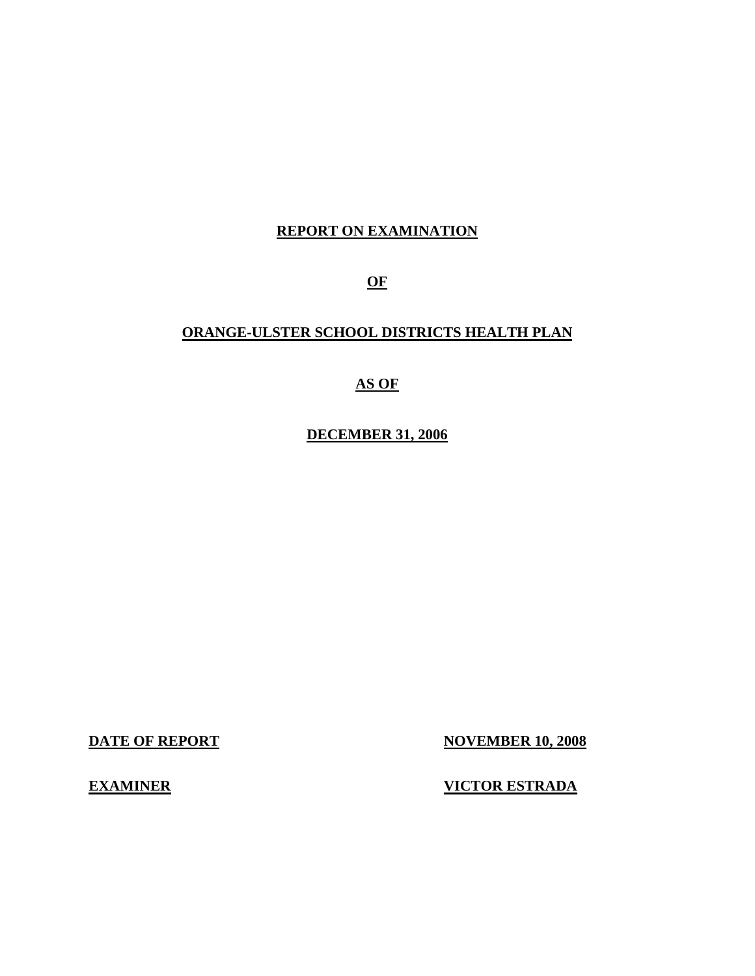## **REPORT ON EXAMINATION**

**OF** 

## **ORANGE-ULSTER SCHOOL DISTRICTS HEALTH PLAN**

## **AS OF**

**DECEMBER 31, 2006** 

**DATE OF REPORT NOVEMBER 10, 2008** 

**EXAMINER VICTOR ESTRADA**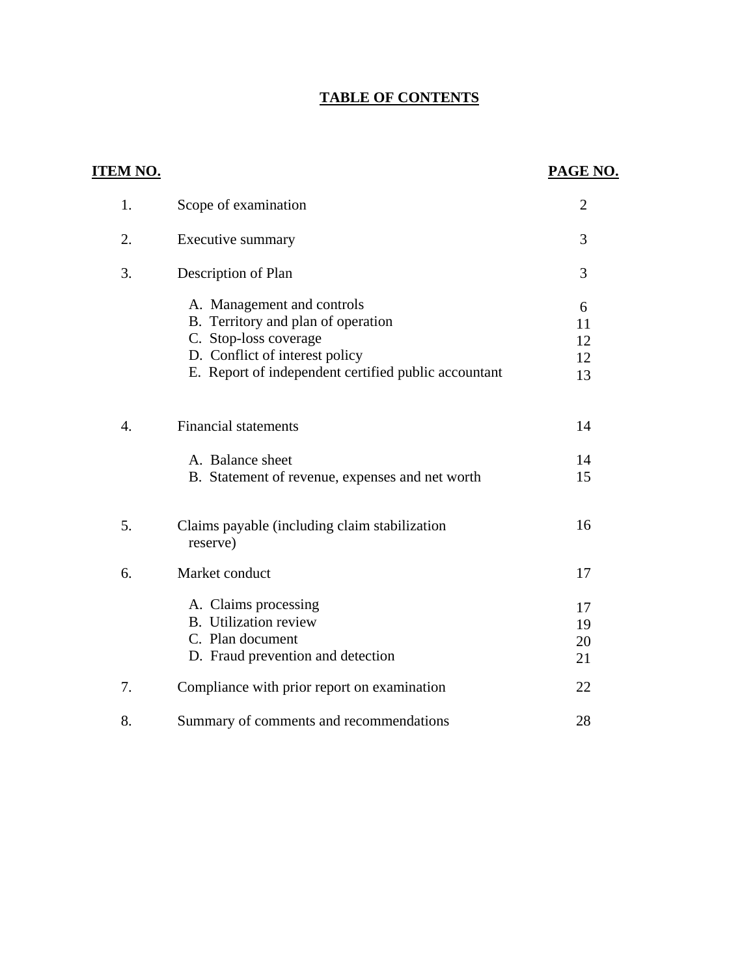## **TABLE OF CONTENTS**

| <b>ITEM NO.</b>  |                                                                                                                                                                                     | PAGE NO.                   |
|------------------|-------------------------------------------------------------------------------------------------------------------------------------------------------------------------------------|----------------------------|
| 1.               | Scope of examination                                                                                                                                                                | $\overline{2}$             |
| 2.               | Executive summary                                                                                                                                                                   | 3                          |
| 3.               | Description of Plan                                                                                                                                                                 | 3                          |
|                  | A. Management and controls<br>B. Territory and plan of operation<br>C. Stop-loss coverage<br>D. Conflict of interest policy<br>E. Report of independent certified public accountant | 6<br>11<br>12<br>12<br>13  |
| $\overline{4}$ . | <b>Financial statements</b><br>A. Balance sheet<br>B. Statement of revenue, expenses and net worth                                                                                  | 14<br>14<br>15             |
| 5.               | Claims payable (including claim stabilization<br>reserve)                                                                                                                           | 16                         |
| 6.               | Market conduct<br>A. Claims processing<br><b>B.</b> Utilization review<br>C. Plan document<br>D. Fraud prevention and detection                                                     | 17<br>17<br>19<br>20<br>21 |
| 7.               | Compliance with prior report on examination                                                                                                                                         | 22                         |
| 8.               | Summary of comments and recommendations                                                                                                                                             | 28                         |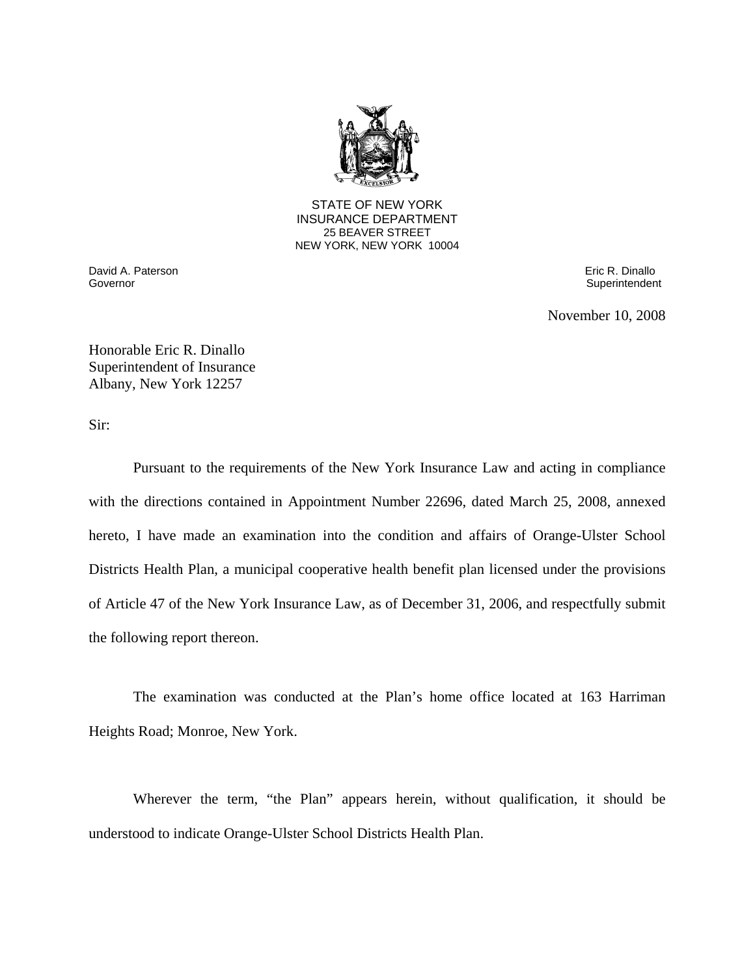

**25 BEAVER STREET** STATE OF NEW YORK INSURANCE DEPARTMENT NEW YORK, NEW YORK 10004

Governor David A. Paterson Eric R. Dinallo

Superintendent

November 10, 2008

Honorable Eric R. Dinallo Superintendent of Insurance Albany, New York 12257

Sir:

Pursuant to the requirements of the New York Insurance Law and acting in compliance with the directions contained in Appointment Number 22696, dated March 25, 2008, annexed hereto, I have made an examination into the condition and affairs of Orange-Ulster School Districts Health Plan, a municipal cooperative health benefit plan licensed under the provisions of Article 47 of the New York Insurance Law, as of December 31, 2006, and respectfully submit the following report thereon.

The examination was conducted at the Plan's home office located at 163 Harriman Heights Road; Monroe, New York.

Wherever the term, "the Plan" appears herein, without qualification, it should be understood to indicate Orange-Ulster School Districts Health Plan.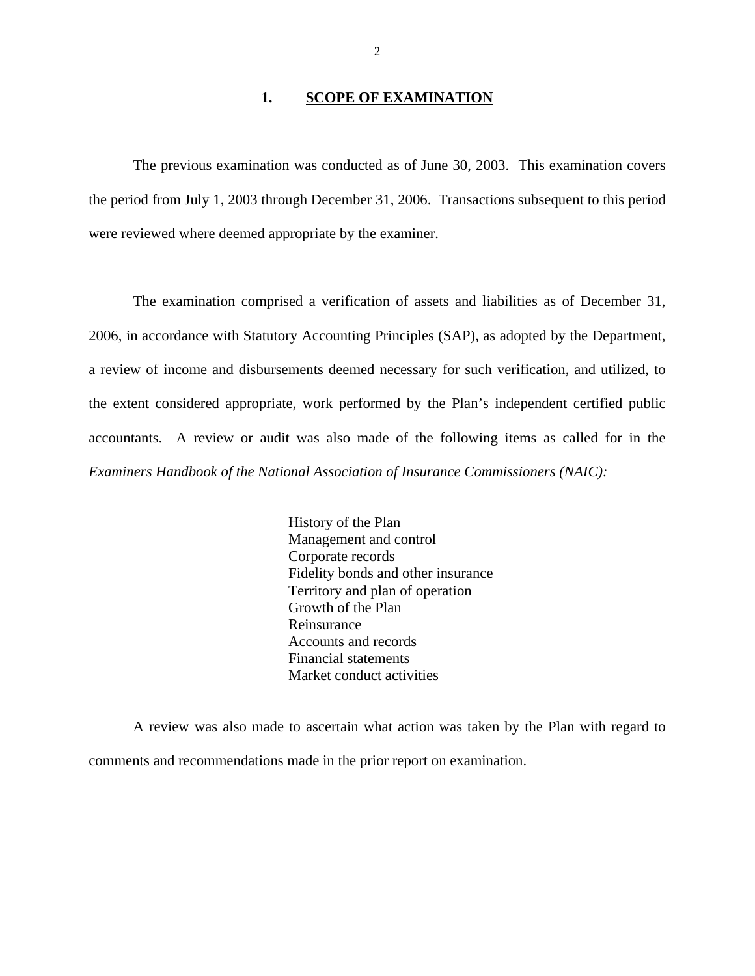#### 1. **SCOPE OF EXAMINATION**

The previous examination was conducted as of June 30, 2003. This examination covers the period from July 1, 2003 through December 31, 2006. Transactions subsequent to this period were reviewed where deemed appropriate by the examiner.

The examination comprised a verification of assets and liabilities as of December 31, 2006, in accordance with Statutory Accounting Principles (SAP), as adopted by the Department, a review of income and disbursements deemed necessary for such verification, and utilized, to the extent considered appropriate, work performed by the Plan's independent certified public accountants. A review or audit was also made of the following items as called for in the *Examiners Handbook of the National Association of Insurance Commissioners (NAIC):* 

> History of the Plan Management and control Corporate records Fidelity bonds and other insurance Territory and plan of operation Growth of the Plan Reinsurance Accounts and records Financial statements Market conduct activities

A review was also made to ascertain what action was taken by the Plan with regard to comments and recommendations made in the prior report on examination.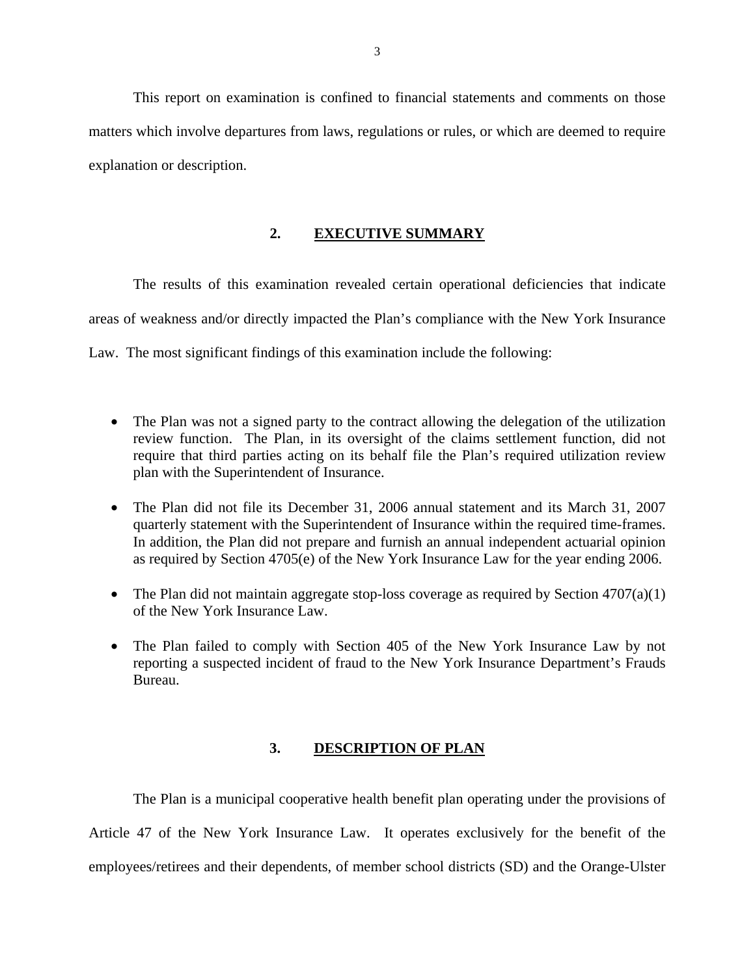This report on examination is confined to financial statements and comments on those matters which involve departures from laws, regulations or rules, or which are deemed to require explanation or description.

#### **2. EXECUTIVE SUMMARY**

The results of this examination revealed certain operational deficiencies that indicate areas of weakness and/or directly impacted the Plan's compliance with the New York Insurance Law. The most significant findings of this examination include the following:

- The Plan was not a signed party to the contract allowing the delegation of the utilization review function. The Plan, in its oversight of the claims settlement function, did not require that third parties acting on its behalf file the Plan's required utilization review plan with the Superintendent of Insurance.
- The Plan did not file its December 31, 2006 annual statement and its March 31, 2007 quarterly statement with the Superintendent of Insurance within the required time-frames. In addition, the Plan did not prepare and furnish an annual independent actuarial opinion as required by Section 4705(e) of the New York Insurance Law for the year ending 2006.
- The Plan did not maintain aggregate stop-loss coverage as required by Section  $4707(a)(1)$ of the New York Insurance Law.
- The Plan failed to comply with Section 405 of the New York Insurance Law by not reporting a suspected incident of fraud to the New York Insurance Department's Frauds Bureau.

#### **3. DESCRIPTION OF PLAN**

The Plan is a municipal cooperative health benefit plan operating under the provisions of Article 47 of the New York Insurance Law. It operates exclusively for the benefit of the employees/retirees and their dependents, of member school districts (SD) and the Orange-Ulster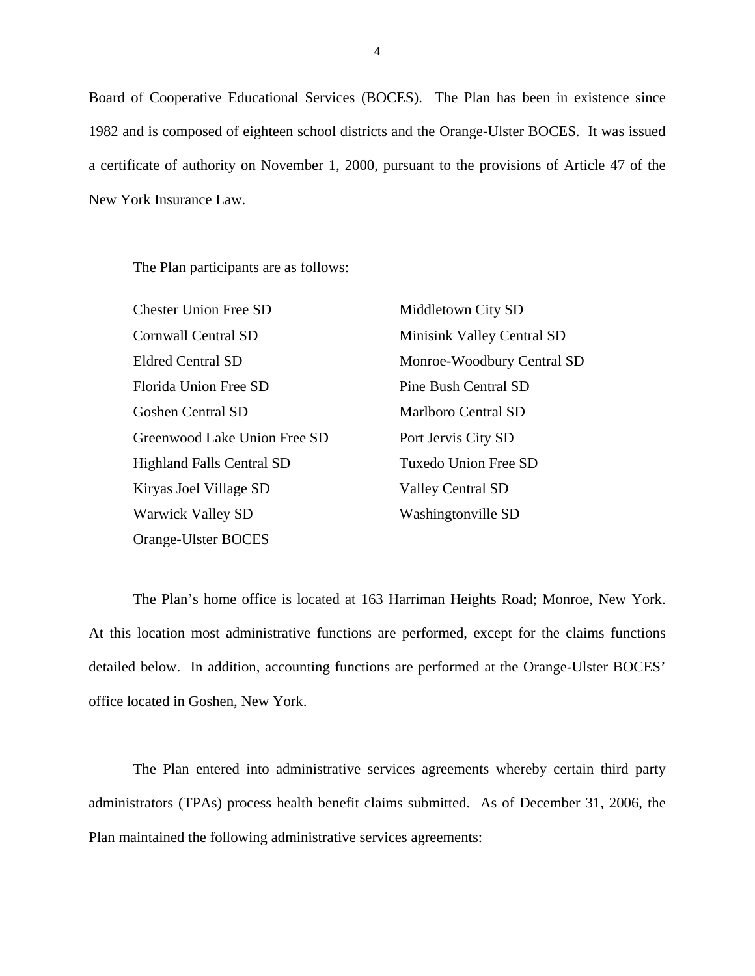Board of Cooperative Educational Services (BOCES). The Plan has been in existence since 1982 and is composed of eighteen school districts and the Orange-Ulster BOCES. It was issued a certificate of authority on November 1, 2000, pursuant to the provisions of Article 47 of the New York Insurance Law.

The Plan participants are as follows:

| <b>Chester Union Free SD</b>     | Middletown City SD         |
|----------------------------------|----------------------------|
| Cornwall Central SD              | Minisink Valley Central SD |
| <b>Eldred Central SD</b>         | Monroe-Woodbury Central SD |
| Florida Union Free SD            | Pine Bush Central SD       |
| <b>Goshen Central SD</b>         | Marlboro Central SD        |
| Greenwood Lake Union Free SD     | Port Jervis City SD        |
| <b>Highland Falls Central SD</b> | Tuxedo Union Free SD       |
| Kiryas Joel Village SD           | <b>Valley Central SD</b>   |
| <b>Warwick Valley SD</b>         | Washingtonville SD         |
| Orange-Ulster BOCES              |                            |

The Plan's home office is located at 163 Harriman Heights Road; Monroe, New York. At this location most administrative functions are performed, except for the claims functions detailed below. In addition, accounting functions are performed at the Orange-Ulster BOCES' office located in Goshen, New York.

The Plan entered into administrative services agreements whereby certain third party administrators (TPAs) process health benefit claims submitted. As of December 31, 2006, the Plan maintained the following administrative services agreements:

4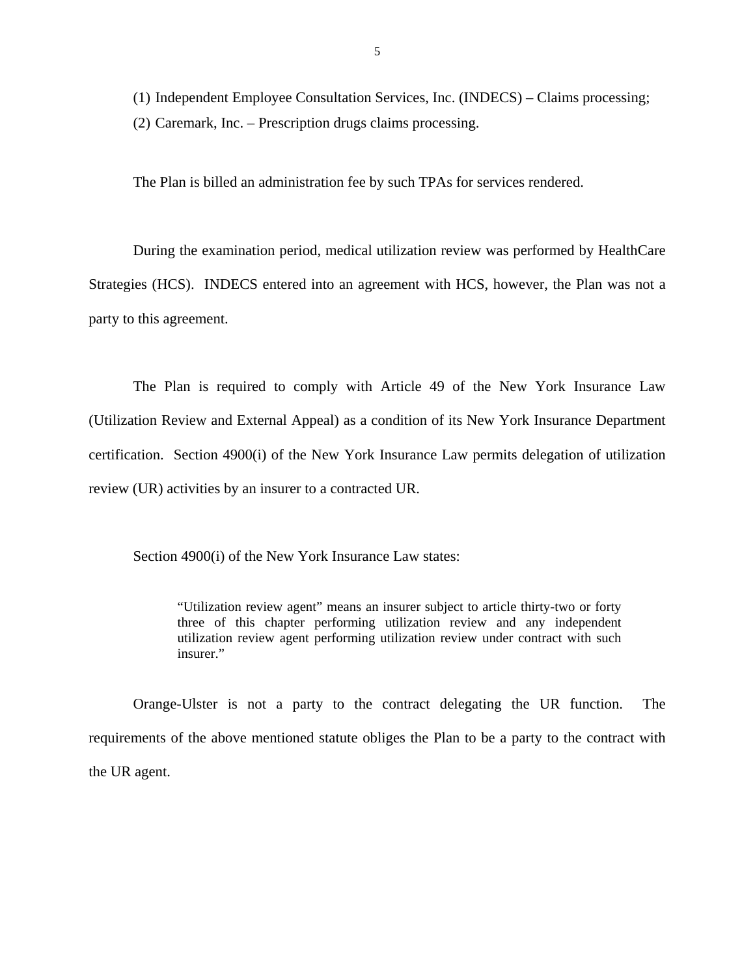(1) Independent Employee Consultation Services, Inc. (INDECS) – Claims processing; (2) Caremark, Inc. – Prescription drugs claims processing.

The Plan is billed an administration fee by such TPAs for services rendered.

During the examination period, medical utilization review was performed by HealthCare Strategies (HCS). INDECS entered into an agreement with HCS, however, the Plan was not a party to this agreement.

The Plan is required to comply with Article 49 of the New York Insurance Law (Utilization Review and External Appeal) as a condition of its New York Insurance Department certification. Section 4900(i) of the New York Insurance Law permits delegation of utilization review (UR) activities by an insurer to a contracted UR.

Section 4900(i) of the New York Insurance Law states:

"Utilization review agent" means an insurer subject to article thirty-two or forty three of this chapter performing utilization review and any independent utilization review agent performing utilization review under contract with such insurer."

Orange-Ulster is not a party to the contract delegating the UR function. The requirements of the above mentioned statute obliges the Plan to be a party to the contract with the UR agent.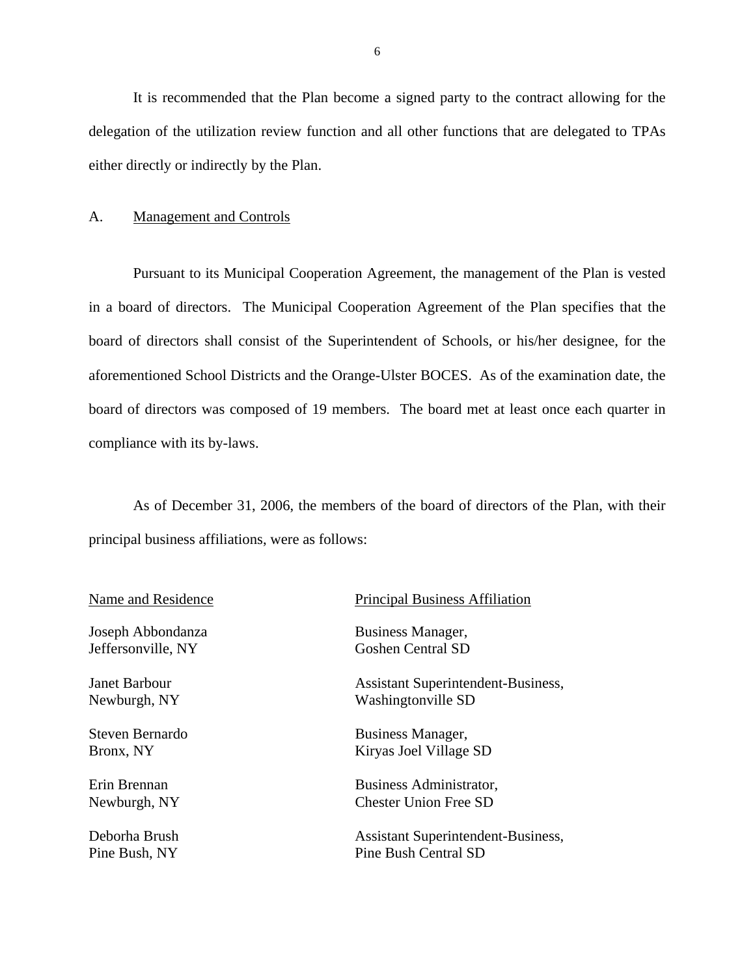It is recommended that the Plan become a signed party to the contract allowing for the delegation of the utilization review function and all other functions that are delegated to TPAs either directly or indirectly by the Plan.

#### A. Management and Controls

Pursuant to its Municipal Cooperation Agreement, the management of the Plan is vested in a board of directors. The Municipal Cooperation Agreement of the Plan specifies that the board of directors shall consist of the Superintendent of Schools, or his/her designee, for the aforementioned School Districts and the Orange-Ulster BOCES. As of the examination date, the board of directors was composed of 19 members. The board met at least once each quarter in compliance with its by-laws.

As of December 31, 2006, the members of the board of directors of the Plan, with their principal business affiliations, were as follows:

| Name and Residence |
|--------------------|
|--------------------|

Joseph Abbondanza Jeffersonville, NY

Janet Barbour Newburgh, NY

Steven Bernardo Bronx, NY

Erin Brennan Newburgh, NY

#### Principal Business Affiliation

 Business Manager, Goshen Central SD

 Assistant Superintendent-Business, Washingtonville SD

 Business Manager, Kiryas Joel Village SD

 Business Administrator, Chester Union Free SD

Deborha Brush Assistant Superintendent-Business, Pine Bush, NY Pine Bush Central SD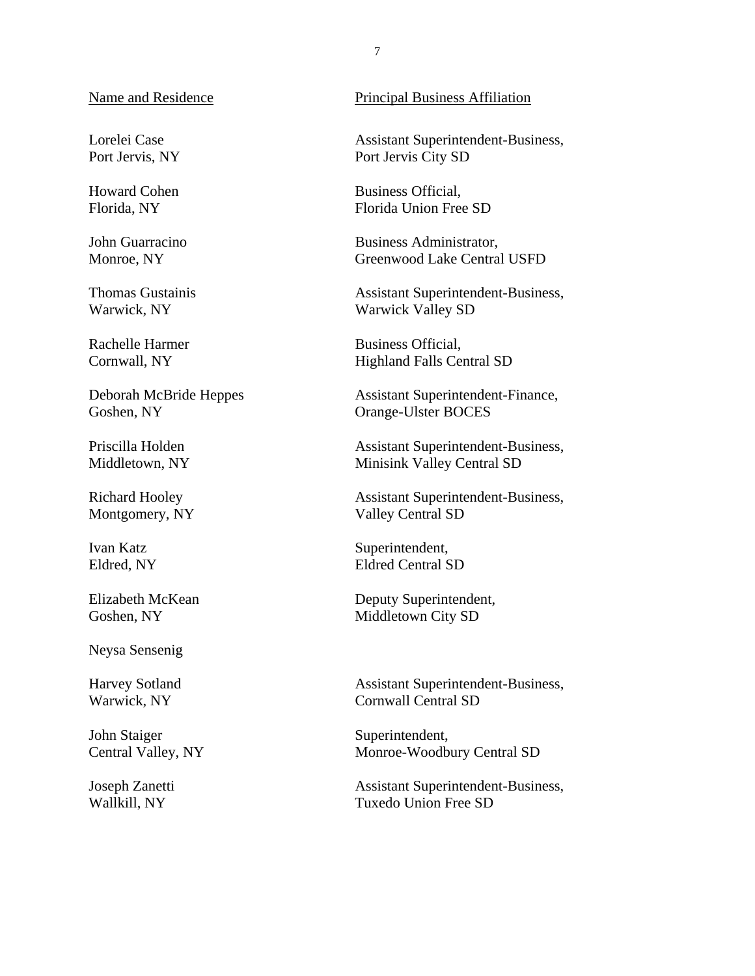Lorelei Case Port Jervis, NY

Howard Cohen Florida, NY

John Guarracino Monroe, NY

Thomas Gustainis Warwick, NY

Rachelle Harmer Cornwall, NY

Deborah McBride Heppes Goshen, NY

Priscilla Holden Middletown, NY

Richard Hooley Montgomery, NY

Ivan Katz Eldred, NY

Elizabeth McKean Goshen, NY

Neysa Sensenig

Harvey Sotland Warwick, NY

John Staiger Central Valley, NY

Joseph Zanetti Wallkill, NY

#### Name and Residence Principal Business Affiliation

 Assistant Superintendent-Business, Port Jervis City SD

 Business Official, Florida Union Free SD

 Business Administrator, Greenwood Lake Central USFD

 Assistant Superintendent-Business, Warwick Valley SD

 Business Official, Highland Falls Central SD

Assistant Superintendent-Finance, Orange-Ulster BOCES

 Assistant Superintendent-Business, Minisink Valley Central SD

 Assistant Superintendent-Business, Valley Central SD

Superintendent, Eldred Central SD

 Deputy Superintendent, Middletown City SD

 Assistant Superintendent-Business, Cornwall Central SD

Superintendent, Monroe-Woodbury Central SD

 Assistant Superintendent-Business, Tuxedo Union Free SD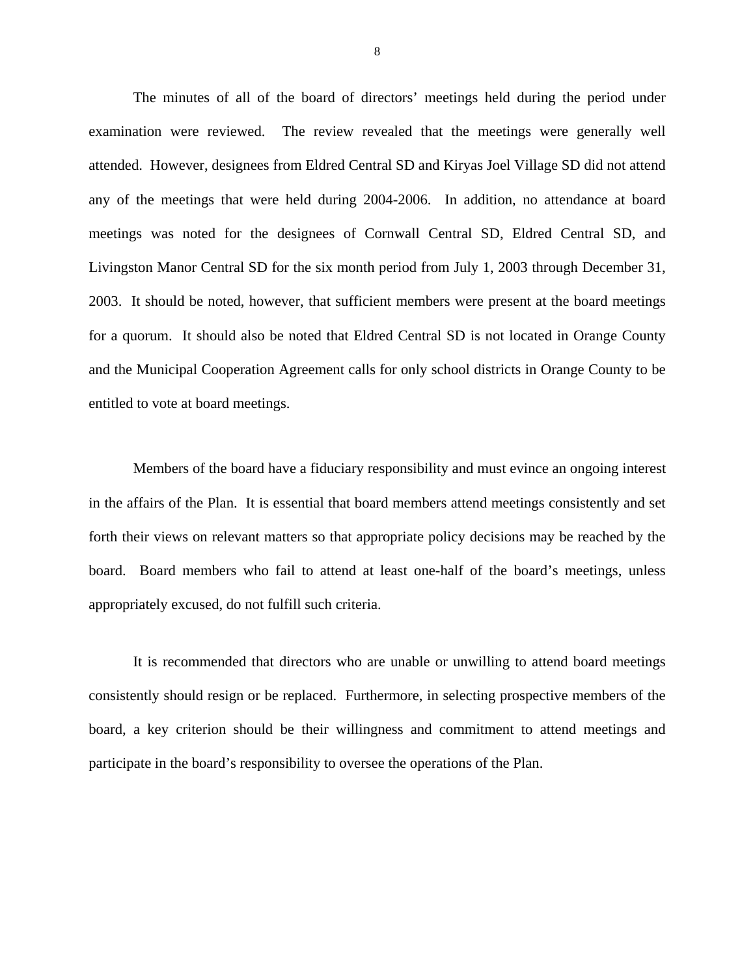The minutes of all of the board of directors' meetings held during the period under examination were reviewed. The review revealed that the meetings were generally well attended. However, designees from Eldred Central SD and Kiryas Joel Village SD did not attend any of the meetings that were held during 2004-2006. In addition, no attendance at board meetings was noted for the designees of Cornwall Central SD, Eldred Central SD, and Livingston Manor Central SD for the six month period from July 1, 2003 through December 31, 2003. It should be noted, however, that sufficient members were present at the board meetings for a quorum. It should also be noted that Eldred Central SD is not located in Orange County and the Municipal Cooperation Agreement calls for only school districts in Orange County to be entitled to vote at board meetings.

Members of the board have a fiduciary responsibility and must evince an ongoing interest in the affairs of the Plan. It is essential that board members attend meetings consistently and set forth their views on relevant matters so that appropriate policy decisions may be reached by the board. Board members who fail to attend at least one-half of the board's meetings, unless appropriately excused, do not fulfill such criteria.

It is recommended that directors who are unable or unwilling to attend board meetings consistently should resign or be replaced. Furthermore, in selecting prospective members of the board, a key criterion should be their willingness and commitment to attend meetings and participate in the board's responsibility to oversee the operations of the Plan.

8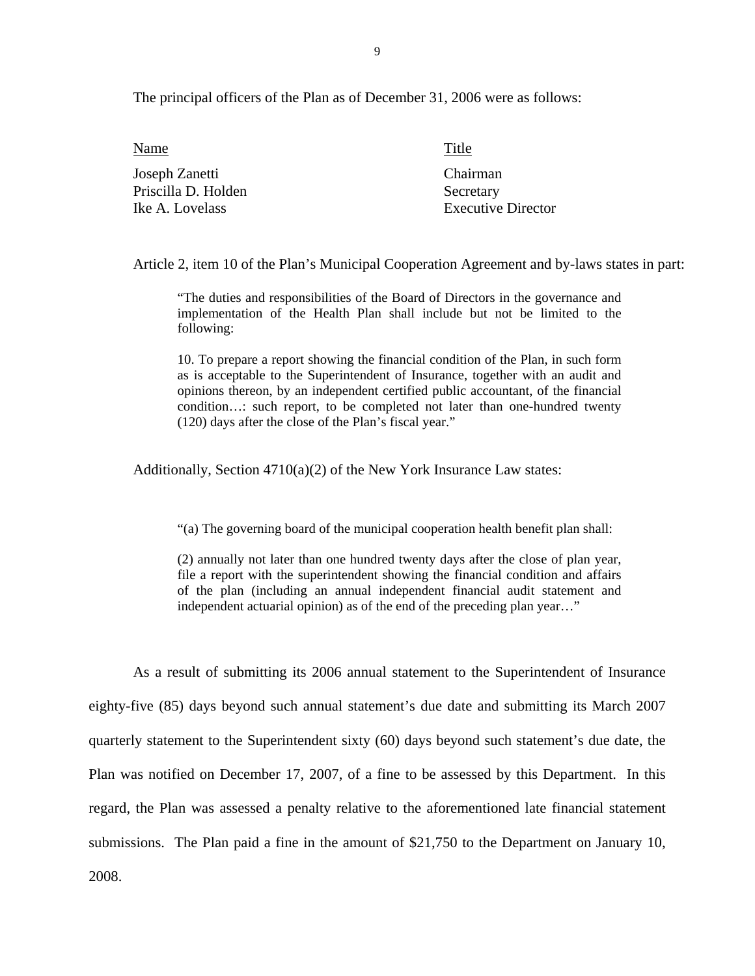The principal officers of the Plan as of December 31, 2006 were as follows:

| Name                | Title                     |
|---------------------|---------------------------|
| Joseph Zanetti      | Chairman                  |
| Priscilla D. Holden | Secretary                 |
| Ike A. Lovelass     | <b>Executive Director</b> |

Article 2, item 10 of the Plan's Municipal Cooperation Agreement and by-laws states in part:

"The duties and responsibilities of the Board of Directors in the governance and implementation of the Health Plan shall include but not be limited to the following:

10. To prepare a report showing the financial condition of the Plan, in such form as is acceptable to the Superintendent of Insurance, together with an audit and opinions thereon, by an independent certified public accountant, of the financial condition…: such report, to be completed not later than one-hundred twenty (120) days after the close of the Plan's fiscal year."

Additionally, Section 4710(a)(2) of the New York Insurance Law states:

"(a) The governing board of the municipal cooperation health benefit plan shall:

(2) annually not later than one hundred twenty days after the close of plan year, file a report with the superintendent showing the financial condition and affairs of the plan (including an annual independent financial audit statement and independent actuarial opinion) as of the end of the preceding plan year…"

As a result of submitting its 2006 annual statement to the Superintendent of Insurance eighty-five (85) days beyond such annual statement's due date and submitting its March 2007 quarterly statement to the Superintendent sixty (60) days beyond such statement's due date, the Plan was notified on December 17, 2007, of a fine to be assessed by this Department. In this regard, the Plan was assessed a penalty relative to the aforementioned late financial statement submissions. The Plan paid a fine in the amount of \$21,750 to the Department on January 10, 2008.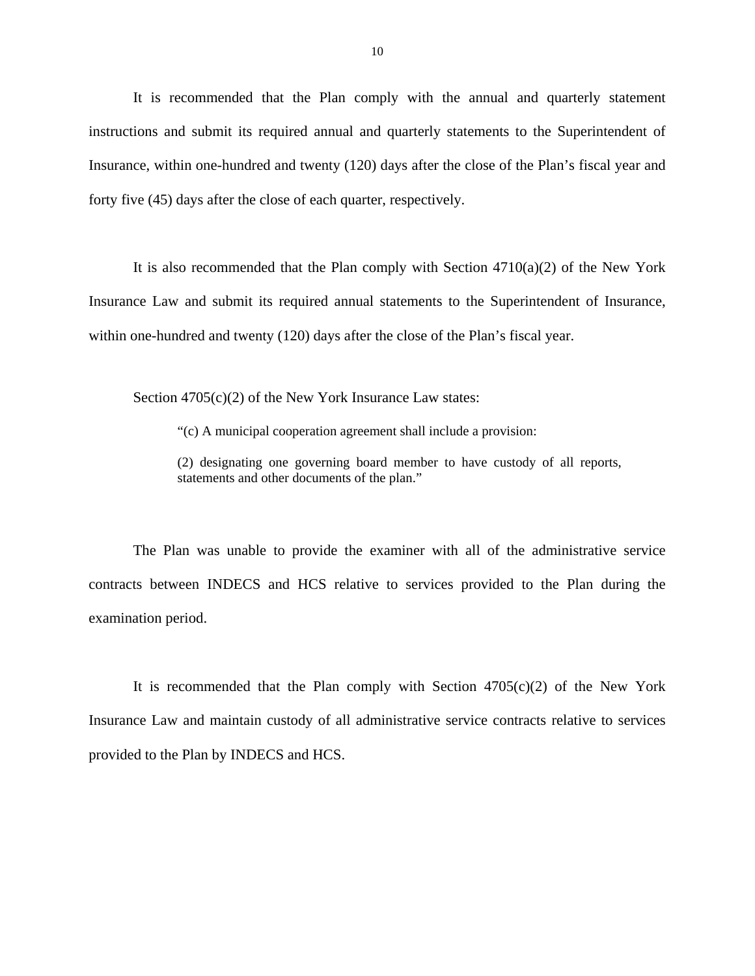It is recommended that the Plan comply with the annual and quarterly statement instructions and submit its required annual and quarterly statements to the Superintendent of Insurance, within one-hundred and twenty (120) days after the close of the Plan's fiscal year and forty five (45) days after the close of each quarter, respectively.

It is also recommended that the Plan comply with Section  $4710(a)(2)$  of the New York Insurance Law and submit its required annual statements to the Superintendent of Insurance, within one-hundred and twenty (120) days after the close of the Plan's fiscal year.

Section 4705(c)(2) of the New York Insurance Law states:

"(c) A municipal cooperation agreement shall include a provision:

(2) designating one governing board member to have custody of all reports, statements and other documents of the plan."

The Plan was unable to provide the examiner with all of the administrative service contracts between INDECS and HCS relative to services provided to the Plan during the examination period.

It is recommended that the Plan comply with Section  $4705(c)(2)$  of the New York Insurance Law and maintain custody of all administrative service contracts relative to services provided to the Plan by INDECS and HCS.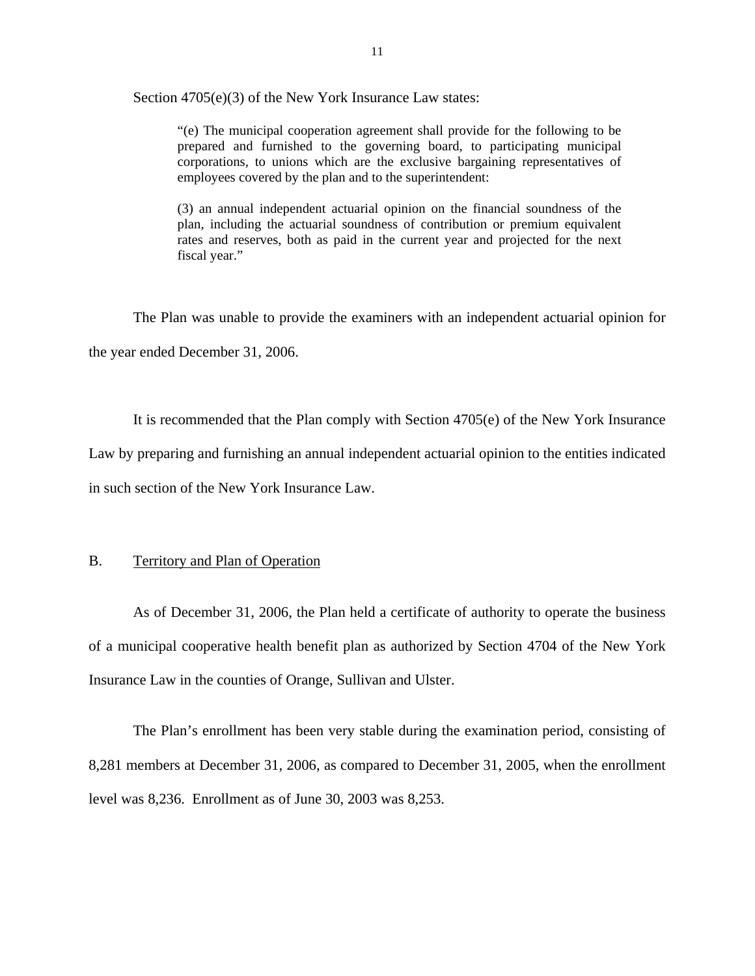Section 4705(e)(3) of the New York Insurance Law states:

"(e) The municipal cooperation agreement shall provide for the following to be prepared and furnished to the governing board, to participating municipal corporations, to unions which are the exclusive bargaining representatives of employees covered by the plan and to the superintendent:

(3) an annual independent actuarial opinion on the financial soundness of the plan, including the actuarial soundness of contribution or premium equivalent rates and reserves, both as paid in the current year and projected for the next fiscal year."

The Plan was unable to provide the examiners with an independent actuarial opinion for the year ended December 31, 2006.

It is recommended that the Plan comply with Section 4705(e) of the New York Insurance Law by preparing and furnishing an annual independent actuarial opinion to the entities indicated in such section of the New York Insurance Law.

#### B. Territory and Plan of Operation

As of December 31, 2006, the Plan held a certificate of authority to operate the business of a municipal cooperative health benefit plan as authorized by Section 4704 of the New York Insurance Law in the counties of Orange, Sullivan and Ulster.

The Plan's enrollment has been very stable during the examination period, consisting of 8,281 members at December 31, 2006, as compared to December 31, 2005, when the enrollment level was 8,236. Enrollment as of June 30, 2003 was 8,253.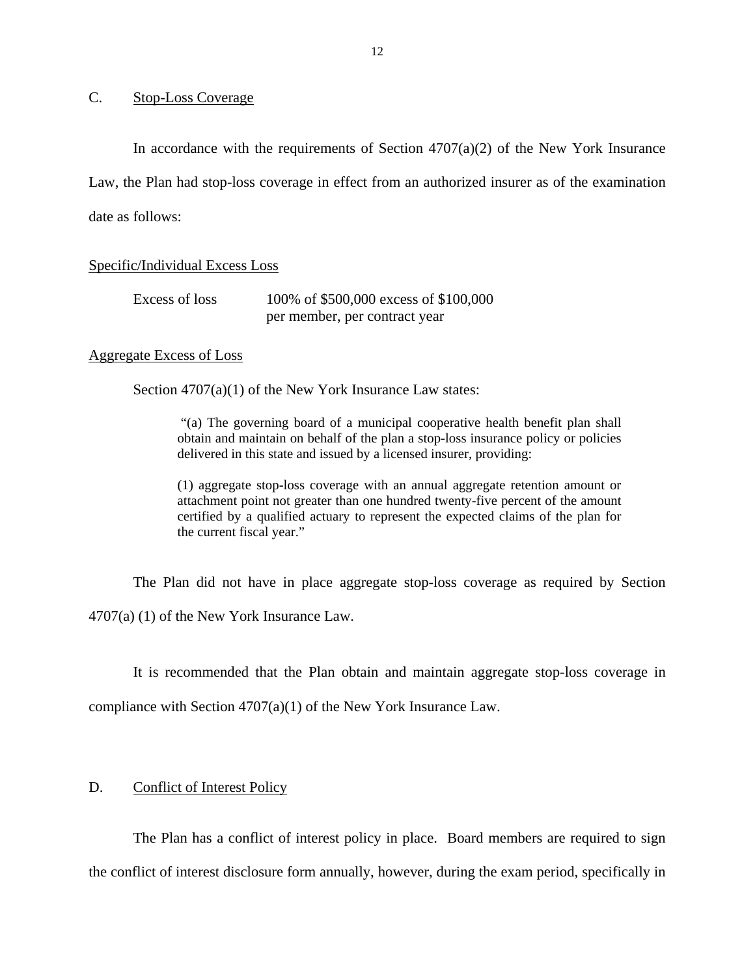### C. Stop-Loss Coverage

In accordance with the requirements of Section  $4707(a)(2)$  of the New York Insurance Law, the Plan had stop-loss coverage in effect from an authorized insurer as of the examination date as follows:

#### Specific/Individual Excess Loss

| Excess of loss | 100% of \$500,000 excess of \$100,000 |
|----------------|---------------------------------------|
|                | per member, per contract year         |

#### Aggregate Excess of Loss

Section  $4707(a)(1)$  of the New York Insurance Law states:

"(a) The governing board of a municipal cooperative health benefit plan shall obtain and maintain on behalf of the plan a stop-loss insurance policy or policies delivered in this state and issued by a licensed insurer, providing:

(1) aggregate stop-loss coverage with an annual aggregate retention amount or attachment point not greater than one hundred twenty-five percent of the amount certified by a qualified actuary to represent the expected claims of the plan for the current fiscal year."

The Plan did not have in place aggregate stop-loss coverage as required by Section 4707(a) (1) of the New York Insurance Law.

It is recommended that the Plan obtain and maintain aggregate stop-loss coverage in compliance with Section 4707(a)(1) of the New York Insurance Law.

#### D. Conflict of Interest Policy

The Plan has a conflict of interest policy in place. Board members are required to sign the conflict of interest disclosure form annually, however, during the exam period, specifically in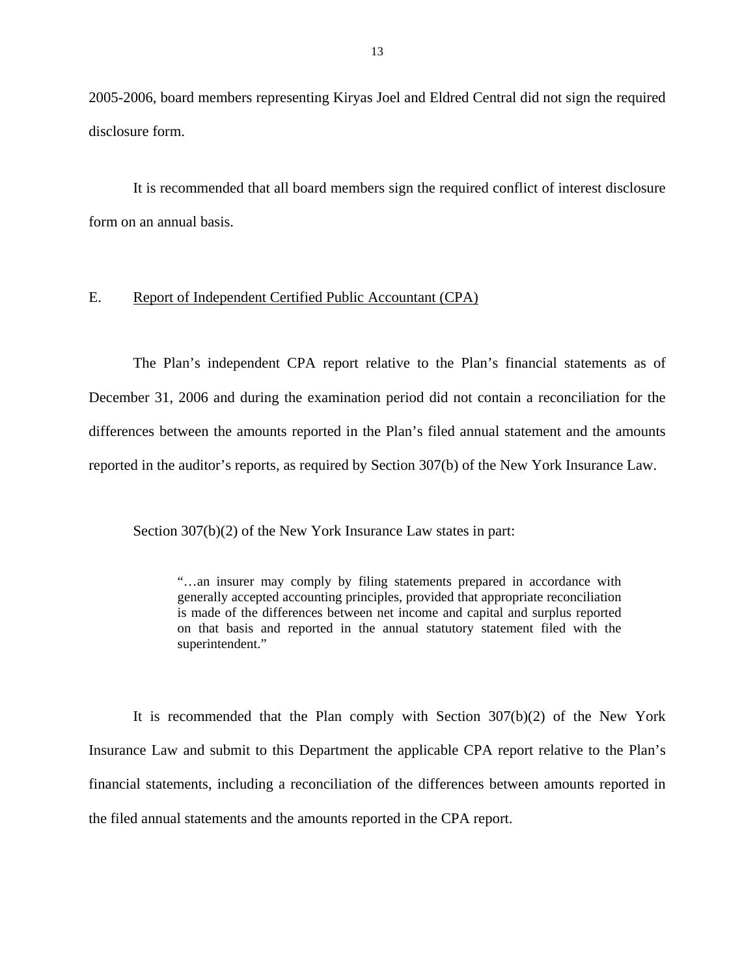2005-2006, board members representing Kiryas Joel and Eldred Central did not sign the required disclosure form.

It is recommended that all board members sign the required conflict of interest disclosure form on an annual basis.

#### E. Report of Independent Certified Public Accountant (CPA)

The Plan's independent CPA report relative to the Plan's financial statements as of December 31, 2006 and during the examination period did not contain a reconciliation for the differences between the amounts reported in the Plan's filed annual statement and the amounts reported in the auditor's reports, as required by Section 307(b) of the New York Insurance Law.

Section 307(b)(2) of the New York Insurance Law states in part:

"…an insurer may comply by filing statements prepared in accordance with generally accepted accounting principles, provided that appropriate reconciliation is made of the differences between net income and capital and surplus reported on that basis and reported in the annual statutory statement filed with the superintendent."

It is recommended that the Plan comply with Section 307(b)(2) of the New York Insurance Law and submit to this Department the applicable CPA report relative to the Plan's financial statements, including a reconciliation of the differences between amounts reported in the filed annual statements and the amounts reported in the CPA report.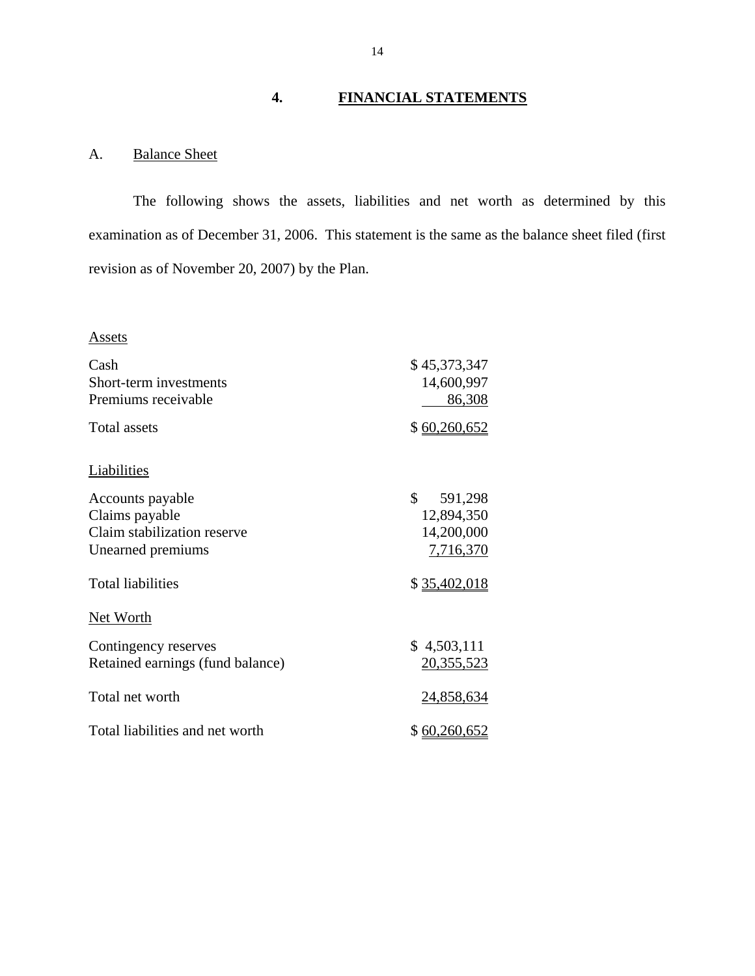## **4. FINANCIAL STATEMENTS**

### A. Balance Sheet

The following shows the assets, liabilities and net worth as determined by this examination as of December 31, 2006. This statement is the same as the balance sheet filed (first revision as of November 20, 2007) by the Plan.

#### **Assets**

| <u>Assets</u>                                                                          |                                                        |
|----------------------------------------------------------------------------------------|--------------------------------------------------------|
| Cash<br>Short-term investments<br>Premiums receivable                                  | \$45,373,347<br>14,600,997<br>86,308                   |
| <b>Total assets</b>                                                                    | \$60,260,652                                           |
| Liabilities                                                                            |                                                        |
| Accounts payable<br>Claims payable<br>Claim stabilization reserve<br>Unearned premiums | \$<br>591,298<br>12,894,350<br>14,200,000<br>7,716,370 |
| <b>Total liabilities</b>                                                               | \$35,402,018                                           |
| <b>Net Worth</b>                                                                       |                                                        |
| Contingency reserves<br>Retained earnings (fund balance)                               | \$4,503,111<br>20,355,523                              |
| Total net worth                                                                        | 24,858,634                                             |
| Total liabilities and net worth                                                        | \$ 60,260,652                                          |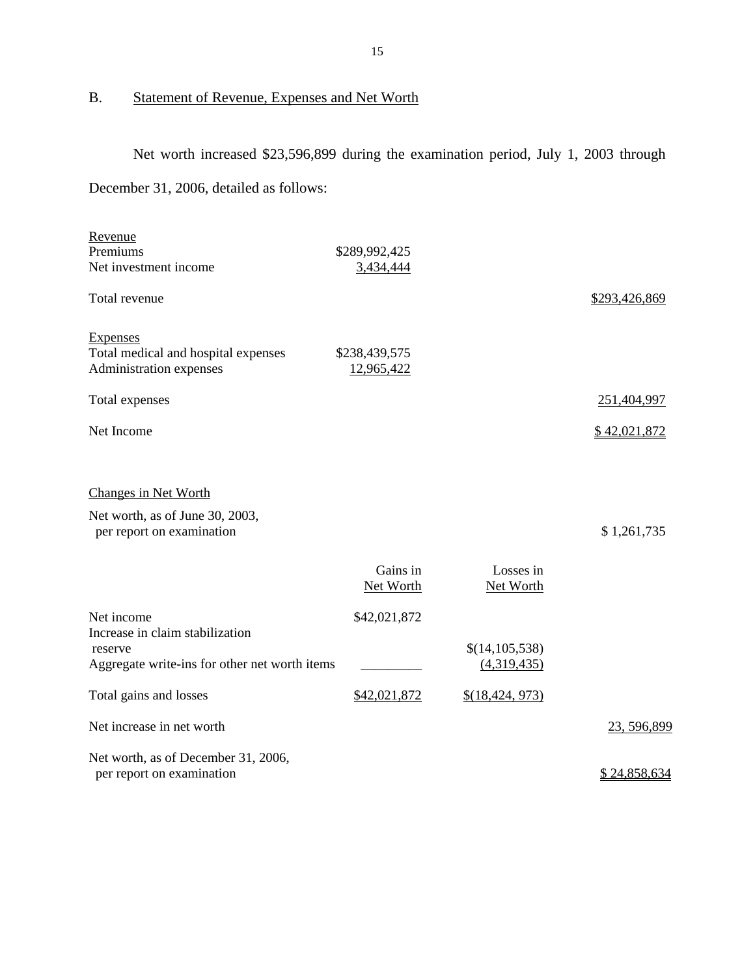## B. Statement of Revenue, Expenses and Net Worth

Net worth increased \$23,596,899 during the examination period, July 1, 2003 through December 31, 2006, detailed as follows:

| Revenue                                                                           |                             |                        |               |
|-----------------------------------------------------------------------------------|-----------------------------|------------------------|---------------|
| Premiums                                                                          | \$289,992,425               |                        |               |
| Net investment income                                                             | 3,434,444                   |                        |               |
| Total revenue                                                                     |                             |                        | \$293,426,869 |
| <b>Expenses</b><br>Total medical and hospital expenses<br>Administration expenses | \$238,439,575<br>12,965,422 |                        |               |
| Total expenses                                                                    |                             |                        | 251,404,997   |
| Net Income                                                                        |                             |                        | \$42,021,872  |
| <b>Changes in Net Worth</b>                                                       |                             |                        |               |
| Net worth, as of June 30, 2003,<br>per report on examination                      |                             |                        | \$1,261,735   |
|                                                                                   | Gains in<br>Net Worth       | Losses in<br>Net Worth |               |
| Net income<br>Increase in claim stabilization                                     | \$42,021,872                |                        |               |
| reserve                                                                           |                             | \$(14,105,538)         |               |
| Aggregate write-ins for other net worth items                                     |                             | (4,319,435)            |               |
| Total gains and losses                                                            | \$42,021,872                | $$$ (18,424, 973)      |               |
| Net increase in net worth                                                         |                             |                        | 23, 596, 899  |
| Net worth, as of December 31, 2006,<br>per report on examination                  |                             |                        | \$24,858,634  |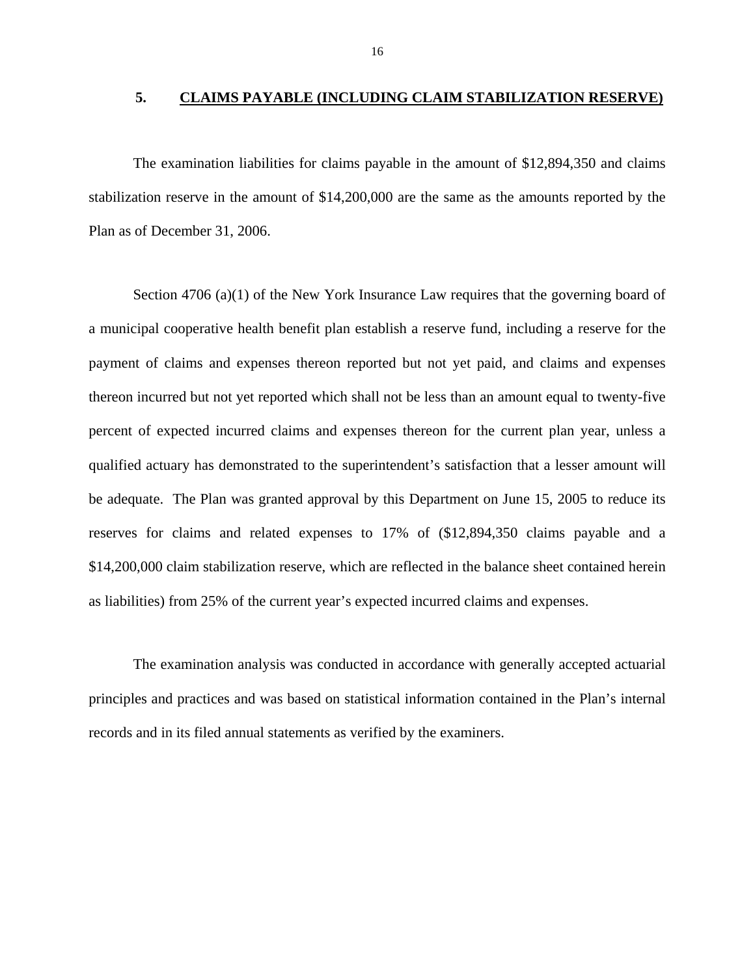#### **5. CLAIMS PAYABLE (INCLUDING CLAIM STABILIZATION RESERVE)**

The examination liabilities for claims payable in the amount of \$12,894,350 and claims stabilization reserve in the amount of \$14,200,000 are the same as the amounts reported by the Plan as of December 31, 2006.

Section 4706 (a)(1) of the New York Insurance Law requires that the governing board of a municipal cooperative health benefit plan establish a reserve fund, including a reserve for the payment of claims and expenses thereon reported but not yet paid, and claims and expenses thereon incurred but not yet reported which shall not be less than an amount equal to twenty-five percent of expected incurred claims and expenses thereon for the current plan year, unless a qualified actuary has demonstrated to the superintendent's satisfaction that a lesser amount will be adequate. The Plan was granted approval by this Department on June 15, 2005 to reduce its reserves for claims and related expenses to 17% of (\$12,894,350 claims payable and a \$14,200,000 claim stabilization reserve, which are reflected in the balance sheet contained herein as liabilities) from 25% of the current year's expected incurred claims and expenses.

The examination analysis was conducted in accordance with generally accepted actuarial principles and practices and was based on statistical information contained in the Plan's internal records and in its filed annual statements as verified by the examiners.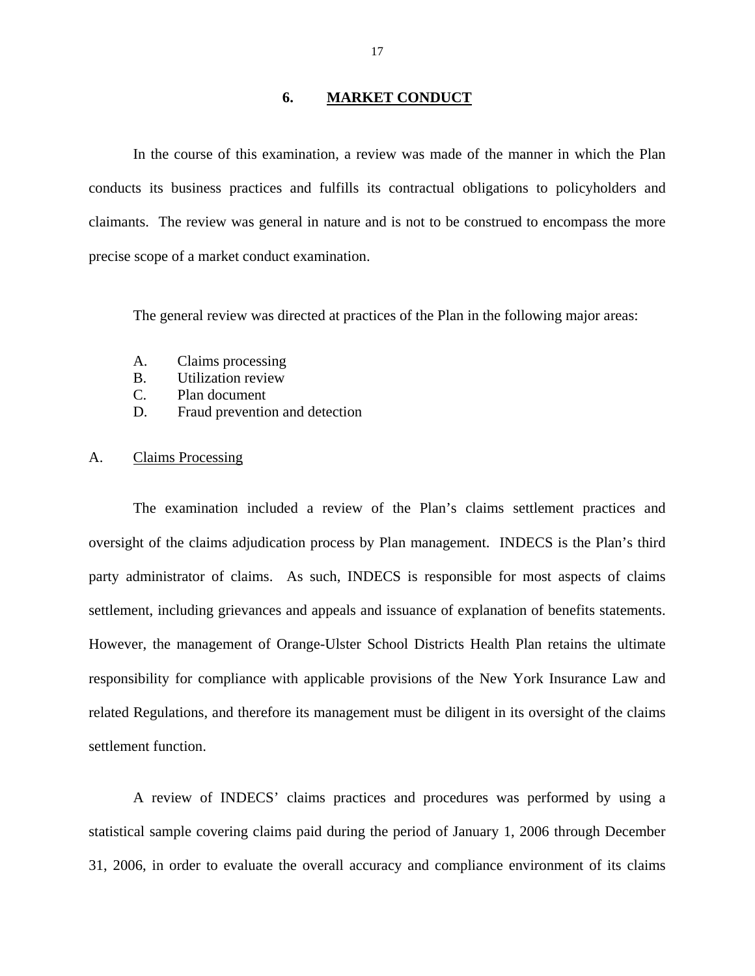#### **6. MARKET CONDUCT**

In the course of this examination, a review was made of the manner in which the Plan conducts its business practices and fulfills its contractual obligations to policyholders and claimants. The review was general in nature and is not to be construed to encompass the more precise scope of a market conduct examination.

The general review was directed at practices of the Plan in the following major areas:

- A. Claims processing
- B. Utilization review
- C. Plan document
- D. Fraud prevention and detection

#### A. Claims Processing

The examination included a review of the Plan's claims settlement practices and oversight of the claims adjudication process by Plan management. INDECS is the Plan's third party administrator of claims. As such, INDECS is responsible for most aspects of claims settlement, including grievances and appeals and issuance of explanation of benefits statements. However, the management of Orange-Ulster School Districts Health Plan retains the ultimate responsibility for compliance with applicable provisions of the New York Insurance Law and related Regulations, and therefore its management must be diligent in its oversight of the claims settlement function.

A review of INDECS' claims practices and procedures was performed by using a statistical sample covering claims paid during the period of January 1, 2006 through December 31, 2006, in order to evaluate the overall accuracy and compliance environment of its claims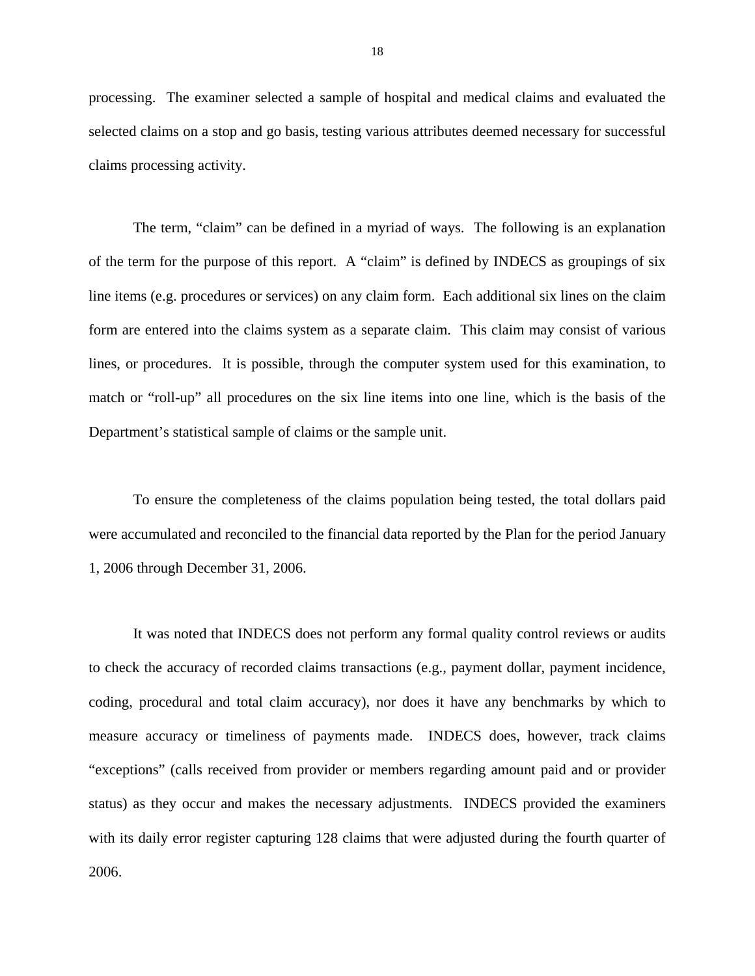processing. The examiner selected a sample of hospital and medical claims and evaluated the selected claims on a stop and go basis, testing various attributes deemed necessary for successful claims processing activity.

The term, "claim" can be defined in a myriad of ways. The following is an explanation of the term for the purpose of this report. A "claim" is defined by INDECS as groupings of six line items (e.g. procedures or services) on any claim form. Each additional six lines on the claim form are entered into the claims system as a separate claim. This claim may consist of various lines, or procedures. It is possible, through the computer system used for this examination, to match or "roll-up" all procedures on the six line items into one line, which is the basis of the Department's statistical sample of claims or the sample unit.

To ensure the completeness of the claims population being tested, the total dollars paid were accumulated and reconciled to the financial data reported by the Plan for the period January 1, 2006 through December 31, 2006.

It was noted that INDECS does not perform any formal quality control reviews or audits to check the accuracy of recorded claims transactions (e.g., payment dollar, payment incidence, coding, procedural and total claim accuracy), nor does it have any benchmarks by which to measure accuracy or timeliness of payments made. INDECS does, however, track claims "exceptions" (calls received from provider or members regarding amount paid and or provider status) as they occur and makes the necessary adjustments. INDECS provided the examiners with its daily error register capturing 128 claims that were adjusted during the fourth quarter of 2006.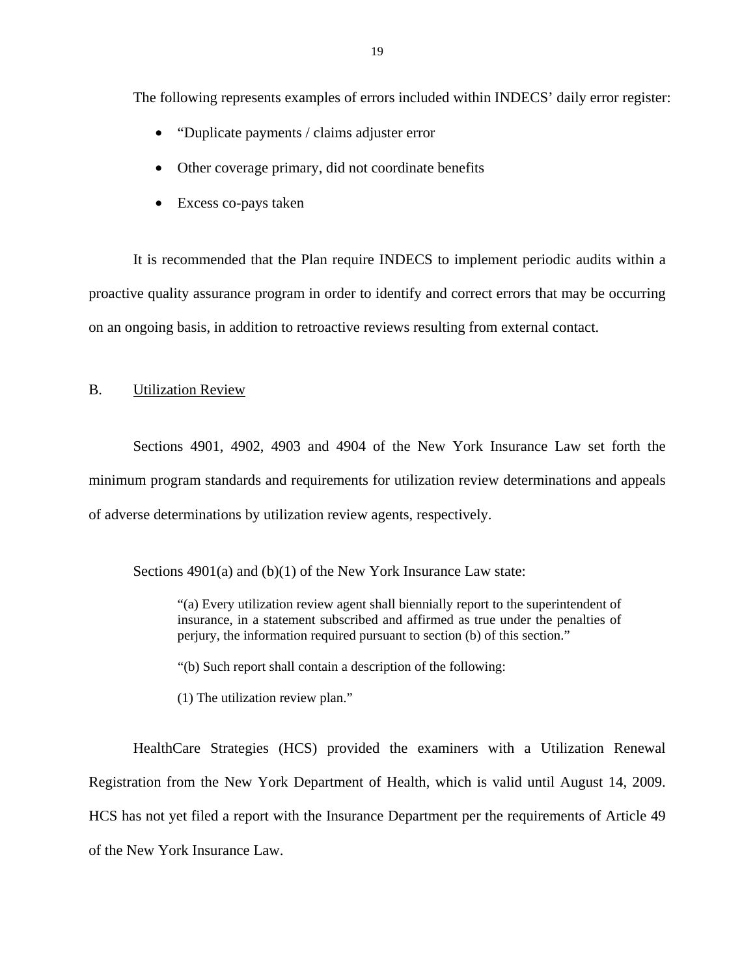The following represents examples of errors included within INDECS' daily error register:

- "Duplicate payments / claims adjuster error"
- Other coverage primary, did not coordinate benefits
- Excess co-pays taken

It is recommended that the Plan require INDECS to implement periodic audits within a proactive quality assurance program in order to identify and correct errors that may be occurring on an ongoing basis, in addition to retroactive reviews resulting from external contact.

#### B. Utilization Review

Sections 4901, 4902, 4903 and 4904 of the New York Insurance Law set forth the minimum program standards and requirements for utilization review determinations and appeals of adverse determinations by utilization review agents, respectively.

Sections 4901(a) and (b)(1) of the New York Insurance Law state:

"(a) Every utilization review agent shall biennially report to the superintendent of insurance, in a statement subscribed and affirmed as true under the penalties of perjury, the information required pursuant to section (b) of this section."

"(b) Such report shall contain a description of the following:

(1) The utilization review plan."

HealthCare Strategies (HCS) provided the examiners with a Utilization Renewal Registration from the New York Department of Health, which is valid until August 14, 2009. HCS has not yet filed a report with the Insurance Department per the requirements of Article 49 of the New York Insurance Law.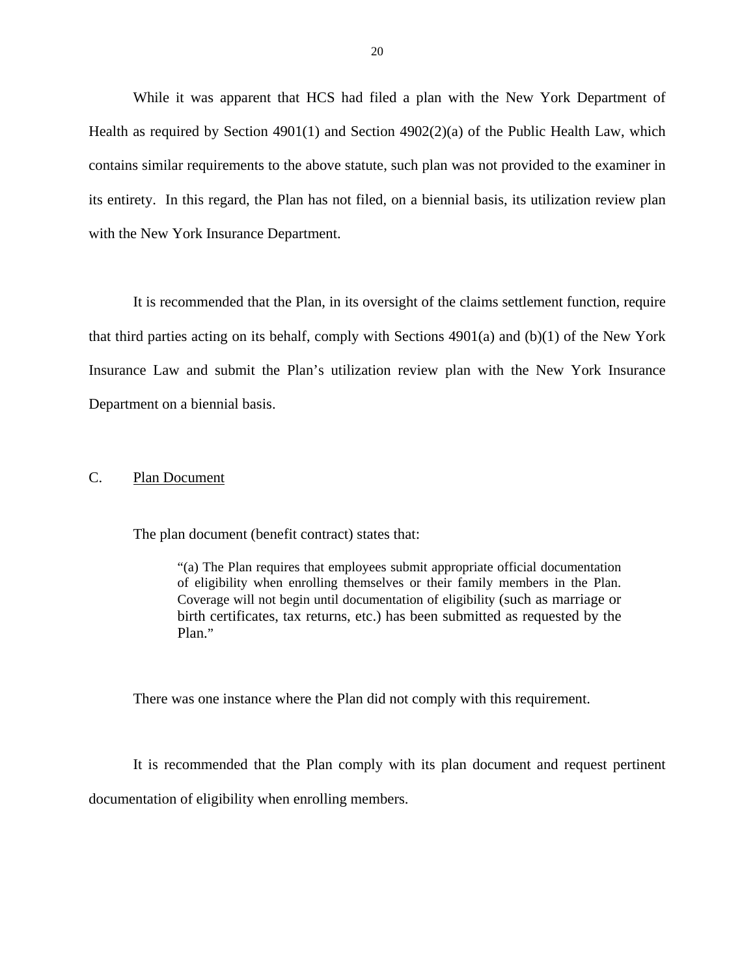While it was apparent that HCS had filed a plan with the New York Department of Health as required by Section 4901(1) and Section  $4902(2)(a)$  of the Public Health Law, which contains similar requirements to the above statute, such plan was not provided to the examiner in its entirety. In this regard, the Plan has not filed, on a biennial basis, its utilization review plan with the New York Insurance Department.

It is recommended that the Plan, in its oversight of the claims settlement function, require that third parties acting on its behalf, comply with Sections 4901(a) and (b)(1) of the New York Insurance Law and submit the Plan's utilization review plan with the New York Insurance Department on a biennial basis.

#### C. Plan Document

The plan document (benefit contract) states that:

 of eligibility when enrolling themselves or their family members in the Plan. Coverage will not begin until documentation of eligibility (such as marriage or "(a) The Plan requires that employees submit appropriate official documentation birth certificates, tax returns, etc.) has been submitted as requested by the Plan."

There was one instance where the Plan did not comply with this requirement.

It is recommended that the Plan comply with its plan document and request pertinent documentation of eligibility when enrolling members.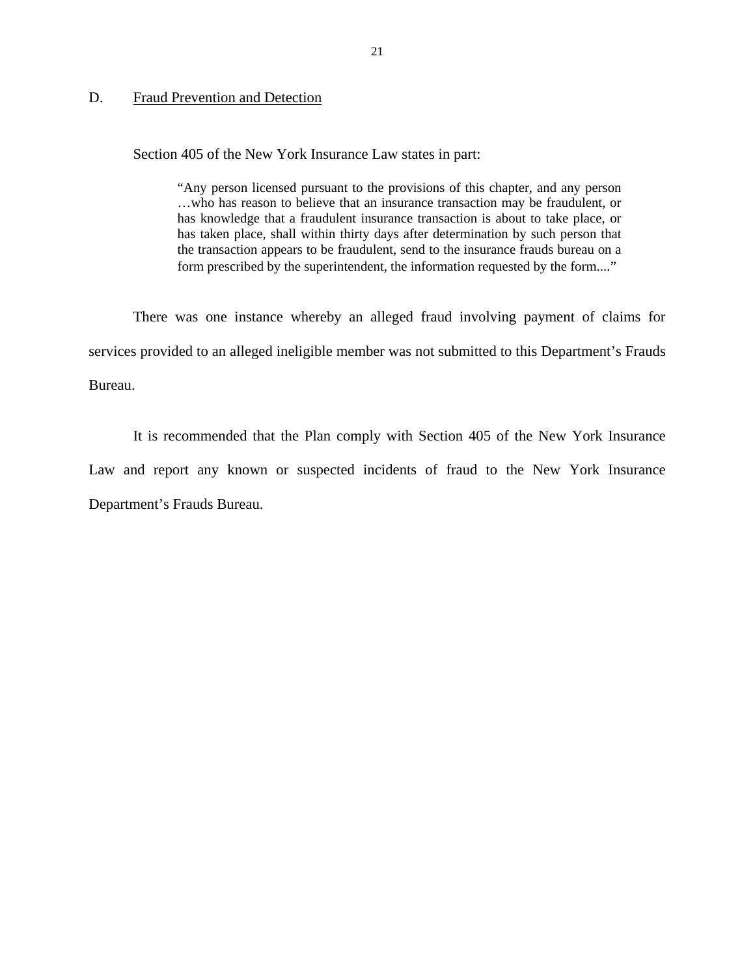#### D. Fraud Prevention and Detection

Section 405 of the New York Insurance Law states in part:

 "Any person licensed pursuant to the provisions of this chapter, and any person has knowledge that a fraudulent insurance transaction is about to take place, or …who has reason to believe that an insurance transaction may be fraudulent, or has taken place, shall within thirty days after determination by such person that the transaction appears to be fraudulent, send to the insurance frauds bureau on a form prescribed by the superintendent, the information requested by the form...."

There was one instance whereby an alleged fraud involving payment of claims for services provided to an alleged ineligible member was not submitted to this Department's Frauds Bureau.

It is recommended that the Plan comply with Section 405 of the New York Insurance Law and report any known or suspected incidents of fraud to the New York Insurance Department's Frauds Bureau.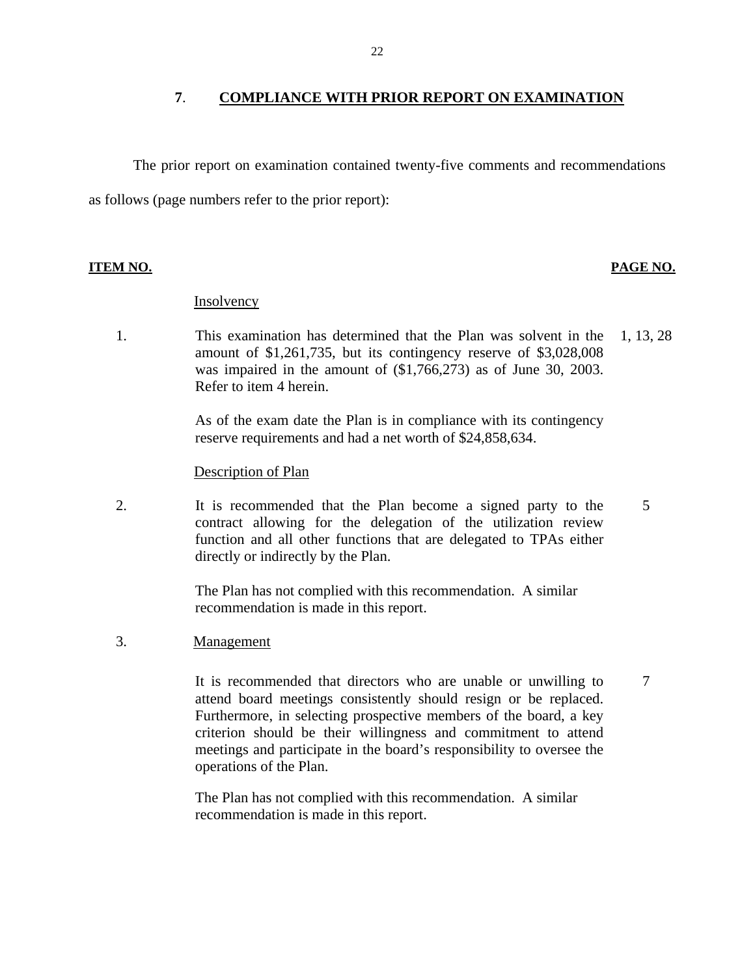#### **7**. **COMPLIANCE WITH PRIOR REPORT ON EXAMINATION**

The prior report on examination contained twenty-five comments and recommendations as follows (page numbers refer to the prior report):

#### **ITEM NO. PAGE NO.**

7

#### **Insolvency**

Refer to item 4 herein. 1. This examination has determined that the Plan was solvent in the 1, 13, 28 amount of \$1,261,735, but its contingency reserve of \$3,028,008 was impaired in the amount of (\$1,766,273) as of June 30, 2003.

> As of the exam date the Plan is in compliance with its contingency reserve requirements and had a net worth of \$24,858,634.

#### Description of Plan

2. It is recommended that the Plan become a signed party to the contract allowing for the delegation of the utilization review function and all other functions that are delegated to TPAs either directly or indirectly by the Plan. 5

> The Plan has not complied with this recommendation. A similar recommendation is made in this report.

Management

3. Management<br>It is recommended that directors who are unable or unwilling to attend board meetings consistently should resign or be replaced. Furthermore, in selecting prospective members of the board, a key criterion should be their willingness and commitment to attend meetings and participate in the board's responsibility to oversee the operations of the Plan.

> The Plan has not complied with this recommendation. A similar recommendation is made in this report.

22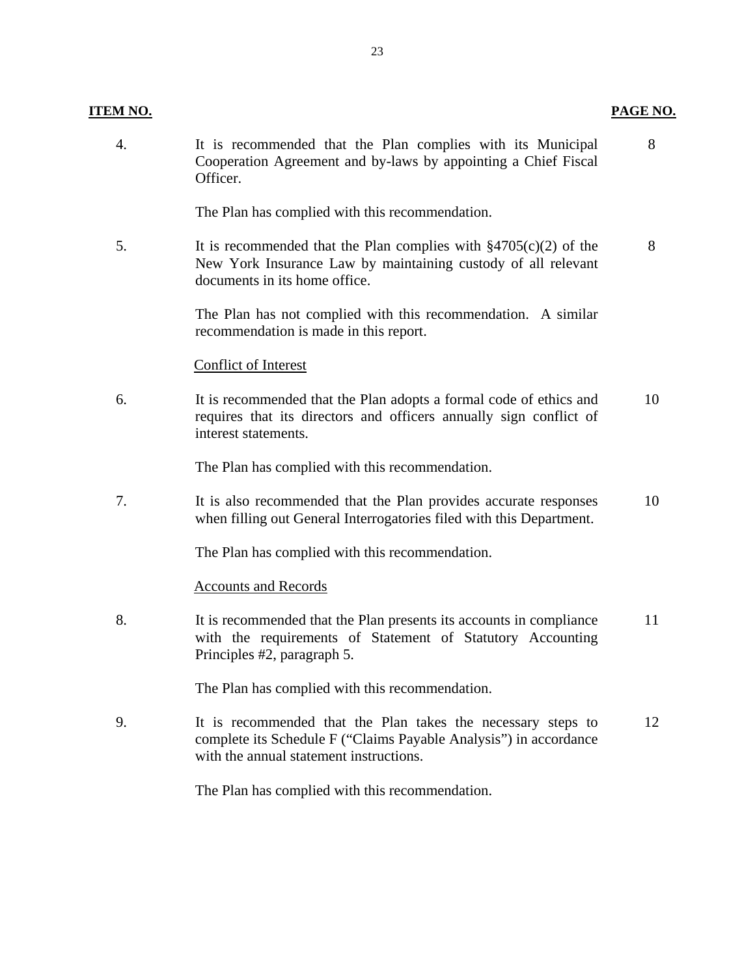| <b>ITEM NO.</b> |                                                                                                                                                                              | PAGE NO. |
|-----------------|------------------------------------------------------------------------------------------------------------------------------------------------------------------------------|----------|
| 4.              | It is recommended that the Plan complies with its Municipal<br>Cooperation Agreement and by-laws by appointing a Chief Fiscal<br>Officer.                                    | 8        |
|                 | The Plan has complied with this recommendation.                                                                                                                              |          |
| 5.              | It is recommended that the Plan complies with $\S 4705(c)(2)$ of the<br>New York Insurance Law by maintaining custody of all relevant<br>documents in its home office.       | 8        |
|                 | The Plan has not complied with this recommendation. A similar<br>recommendation is made in this report.                                                                      |          |
|                 | <b>Conflict of Interest</b>                                                                                                                                                  |          |
| 6.              | It is recommended that the Plan adopts a formal code of ethics and<br>requires that its directors and officers annually sign conflict of<br>interest statements.             | 10       |
|                 | The Plan has complied with this recommendation.                                                                                                                              |          |
| 7.              | It is also recommended that the Plan provides accurate responses<br>when filling out General Interrogatories filed with this Department.                                     | 10       |
|                 | The Plan has complied with this recommendation.                                                                                                                              |          |
|                 | <b>Accounts and Records</b>                                                                                                                                                  |          |
| 8.              | It is recommended that the Plan presents its accounts in compliance<br>with the requirements of Statement of Statutory Accounting<br>Principles #2, paragraph 5.             | 11       |
|                 | The Plan has complied with this recommendation.                                                                                                                              |          |
| 9.              | It is recommended that the Plan takes the necessary steps to<br>complete its Schedule F ("Claims Payable Analysis") in accordance<br>with the annual statement instructions. | 12       |
|                 | The Plan has complied with this recommendation.                                                                                                                              |          |
|                 |                                                                                                                                                                              |          |
|                 |                                                                                                                                                                              |          |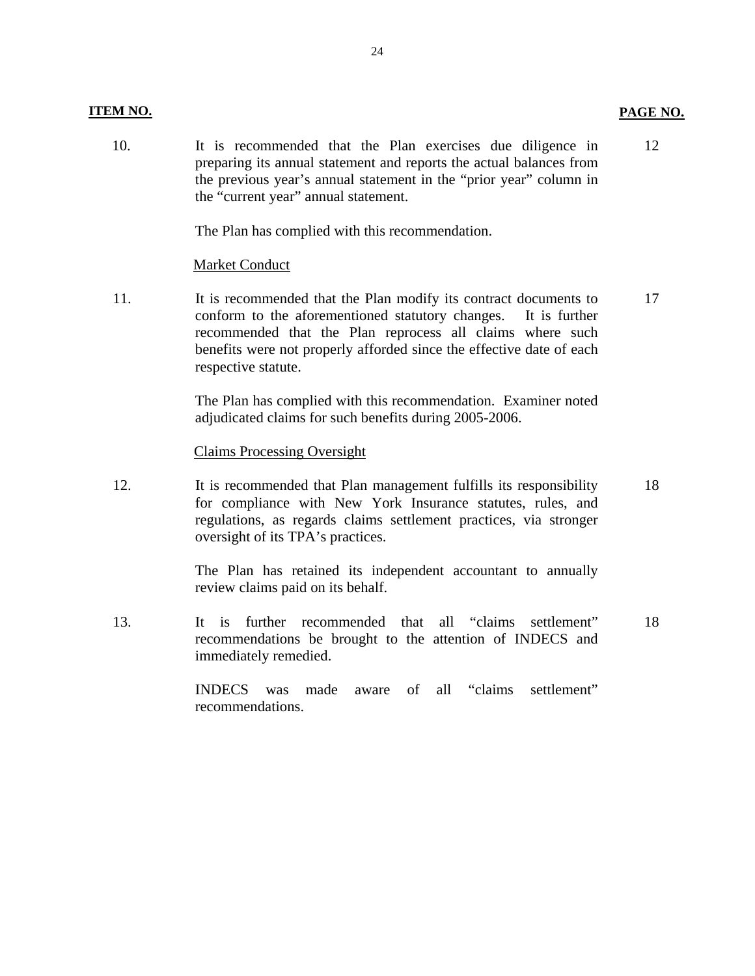#### **ITEM NO. PAGE NO.**

10. It is recommended that the Plan exercises due diligence in preparing its annual statement and reports the actual balances from the previous year's annual statement in the "prior year" column in the "current year" annual statement. 12

The Plan has complied with this recommendation.

#### Market Conduct

11. It is recommended that the Plan modify its contract documents to conform to the aforementioned statutory changes. It is further recommended that the Plan reprocess all claims where such benefits were not properly afforded since the effective date of each respective statute. 17

> The Plan has complied with this recommendation. Examiner noted adjudicated claims for such benefits during 2005-2006.

#### Claims Processing Oversight

12. It is recommended that Plan management fulfills its responsibility for compliance with New York Insurance statutes, rules, and regulations, as regards claims settlement practices, via stronger oversight of its TPA's practices. 18

> The Plan has retained its independent accountant to annually review claims paid on its behalf.

13. It is further recommended that all "claims settlement" recommendations be brought to the attention of INDECS and immediately remedied. 18

> INDECS was made aware of all "claims settlement" recommendations.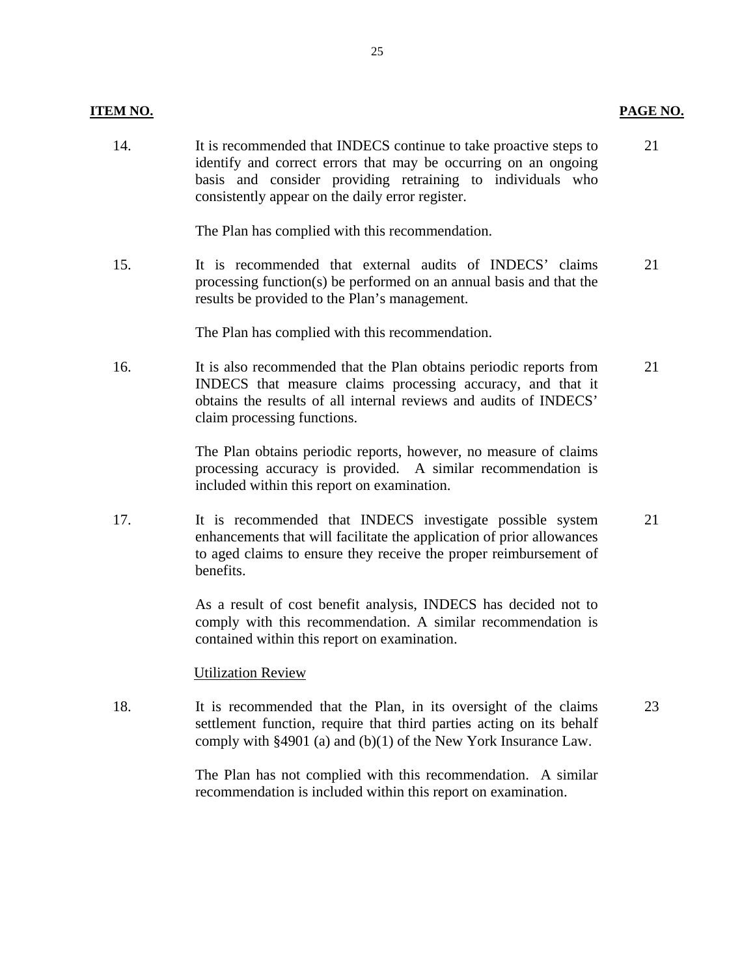#### **ITEM NO.** PAGE NO.

14. It is recommended that INDECS continue to take proactive steps to 21 identify and correct errors that may be occurring on an ongoing basis and consider providing retraining to individuals who consistently appear on the daily error register.

The Plan has complied with this recommendation.

15. It is recommended that external audits of INDECS' claims 21 processing function(s) be performed on an annual basis and that the results be provided to the Plan's management.

The Plan has complied with this recommendation.

16. It is also recommended that the Plan obtains periodic reports from 21 INDECS that measure claims processing accuracy, and that it obtains the results of all internal reviews and audits of INDECS' claim processing functions.

> The Plan obtains periodic reports, however, no measure of claims processing accuracy is provided. A similar recommendation is included within this report on examination.

17. It is recommended that INDECS investigate possible system 21 enhancements that will facilitate the application of prior allowances to aged claims to ensure they receive the proper reimbursement of benefits.

> As a result of cost benefit analysis, INDECS has decided not to comply with this recommendation. A similar recommendation is contained within this report on examination.

#### Utilization Review

18. It is recommended that the Plan, in its oversight of the claims 23 settlement function, require that third parties acting on its behalf comply with §4901 (a) and (b)(1) of the New York Insurance Law.

> The Plan has not complied with this recommendation. A similar recommendation is included within this report on examination.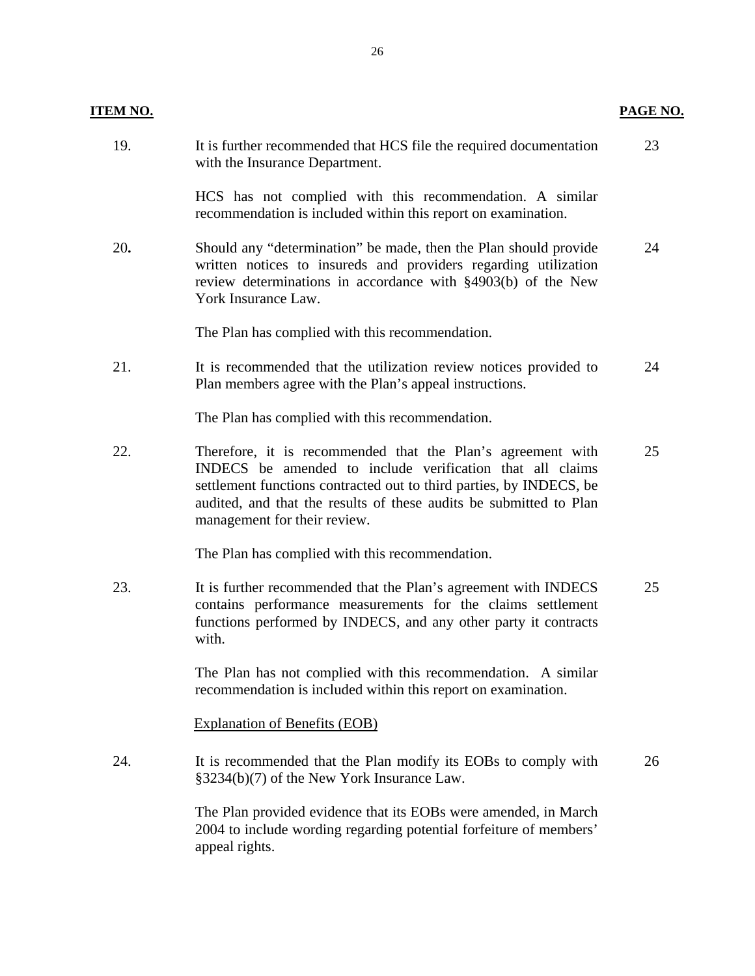| <b>ITEM NO.</b> |                                                                                                                                                                                                                                                                                                       | <b>PAGE NO.</b> |
|-----------------|-------------------------------------------------------------------------------------------------------------------------------------------------------------------------------------------------------------------------------------------------------------------------------------------------------|-----------------|
| 19.             | It is further recommended that HCS file the required documentation<br>with the Insurance Department.                                                                                                                                                                                                  | 23              |
|                 | HCS has not complied with this recommendation. A similar<br>recommendation is included within this report on examination.                                                                                                                                                                             |                 |
| 20.             | Should any "determination" be made, then the Plan should provide<br>written notices to insureds and providers regarding utilization<br>review determinations in accordance with §4903(b) of the New<br>York Insurance Law.                                                                            | 24              |
|                 | The Plan has complied with this recommendation.                                                                                                                                                                                                                                                       |                 |
| 21.             | It is recommended that the utilization review notices provided to<br>Plan members agree with the Plan's appeal instructions.                                                                                                                                                                          | 24              |
|                 | The Plan has complied with this recommendation.                                                                                                                                                                                                                                                       |                 |
| 22.             | Therefore, it is recommended that the Plan's agreement with<br>INDECS be amended to include verification that all claims<br>settlement functions contracted out to third parties, by INDECS, be<br>audited, and that the results of these audits be submitted to Plan<br>management for their review. | 25              |
|                 | The Plan has complied with this recommendation.                                                                                                                                                                                                                                                       |                 |
| 23.             | It is further recommended that the Plan's agreement with INDECS<br>contains performance measurements for the claims settlement<br>functions performed by INDECS, and any other party it contracts<br>with.                                                                                            | 25              |
|                 | The Plan has not complied with this recommendation. A similar<br>recommendation is included within this report on examination.                                                                                                                                                                        |                 |
|                 | <b>Explanation of Benefits (EOB)</b>                                                                                                                                                                                                                                                                  |                 |
| 24.             | It is recommended that the Plan modify its EOBs to comply with<br>§3234(b)(7) of the New York Insurance Law.                                                                                                                                                                                          | 26              |
|                 | The Plan provided evidence that its EOBs were amended, in March<br>2004 to include wording regarding potential forfeiture of members'<br>appeal rights.                                                                                                                                               |                 |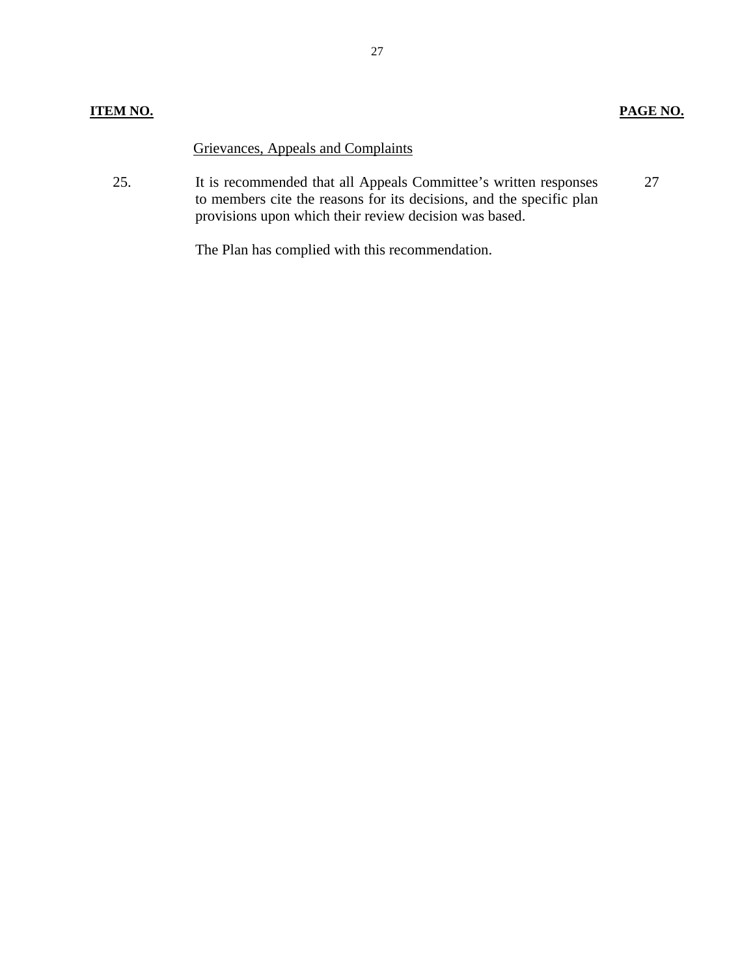### Grievances, Appeals and Complaints

25. It is recommended that all Appeals Committee's written responses to members cite the reasons for its decisions, and the specific plan provisions upon which their review decision was based. 27

The Plan has complied with this recommendation.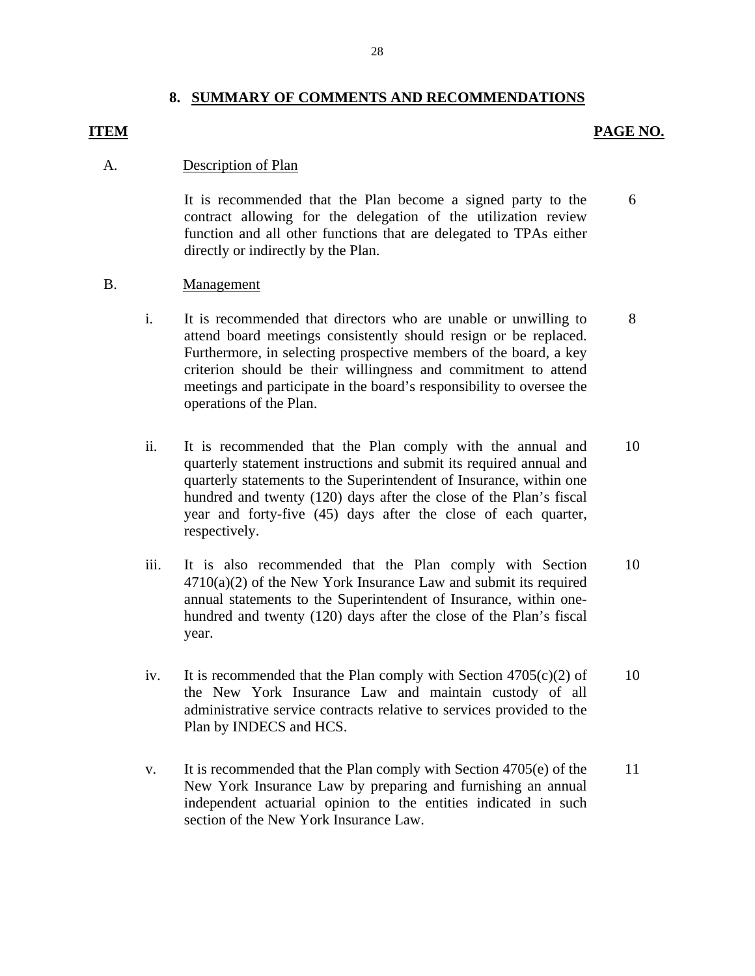#### **8. SUMMARY OF COMMENTS AND RECOMMENDATIONS**

#### **ITEM**

#### **PAGE NO.**

#### Description of Plan A.

It is recommended that the Plan become a signed party to the contract allowing for the delegation of the utilization review function and all other functions that are delegated to TPAs either directly or indirectly by the Plan. 6

- B. Management
	- attend board meetings consistently should resign or be replaced. i. It is recommended that directors who are unable or unwilling to Furthermore, in selecting prospective members of the board, a key criterion should be their willingness and commitment to attend meetings and participate in the board's responsibility to oversee the operations of the Plan. 8
	- ii. It is recommended that the Plan comply with the annual and quarterly statement instructions and submit its required annual and quarterly statements to the Superintendent of Insurance, within one hundred and twenty (120) days after the close of the Plan's fiscal year and forty-five (45) days after the close of each quarter, respectively. 10
	- iii. It is also recommended that the Plan comply with Section 4710(a)(2) of the New York Insurance Law and submit its required annual statements to the Superintendent of Insurance, within onehundred and twenty (120) days after the close of the Plan's fiscal year. 10
	- iv. It is recommended that the Plan comply with Section  $4705(c)(2)$  of the New York Insurance Law and maintain custody of all administrative service contracts relative to services provided to the Plan by INDECS and HCS. 10
	- v. It is recommended that the Plan comply with Section 4705(e) of the New York Insurance Law by preparing and furnishing an annual independent actuarial opinion to the entities indicated in such section of the New York Insurance Law. 11

28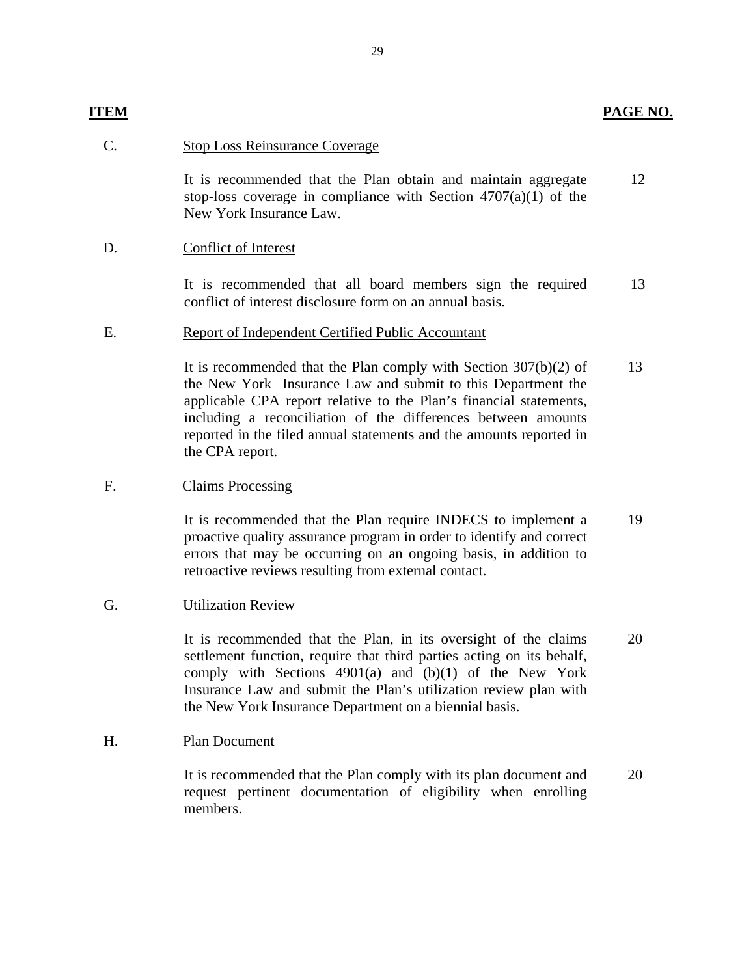## **ITEM** PAGE NO.

#### **Stop Loss Reinsurance Coverage**

C. Stop Loss Reinsurance Coverage<br>It is recommended that the Plan obtain and maintain aggregate stop-loss coverage in compliance with Section  $4707(a)(1)$  of the New York Insurance Law. 12

#### Conflict of Interest

D. Conflict of Interest<br>It is recommended that all board members sign the required conflict of interest disclosure form on an annual basis. 13

#### E. Report of Independent Certified Public Accountant

It is recommended that the Plan comply with Section 307(b)(2) of the New York Insurance Law and submit to this Department the applicable CPA report relative to the Plan's financial statements, including a reconciliation of the differences between amounts reported in the filed annual statements and the amounts reported in the CPA report. 13

#### F. Claims Processing

It is recommended that the Plan require INDECS to implement a proactive quality assurance program in order to identify and correct errors that may be occurring on an ongoing basis, in addition to retroactive reviews resulting from external contact. 19

#### G. Utilization Review

It is recommended that the Plan, in its oversight of the claims settlement function, require that third parties acting on its behalf, comply with Sections 4901(a) and (b)(1) of the New York Insurance Law and submit the Plan's utilization review plan with the New York Insurance Department on a biennial basis. 20

#### H. Plan Document

members. It is recommended that the Plan comply with its plan document and request pertinent documentation of eligibility when enrolling It is recommended that the Plan comply with its plan document and 20 request pertinent documentation of eligibility when enrolling members.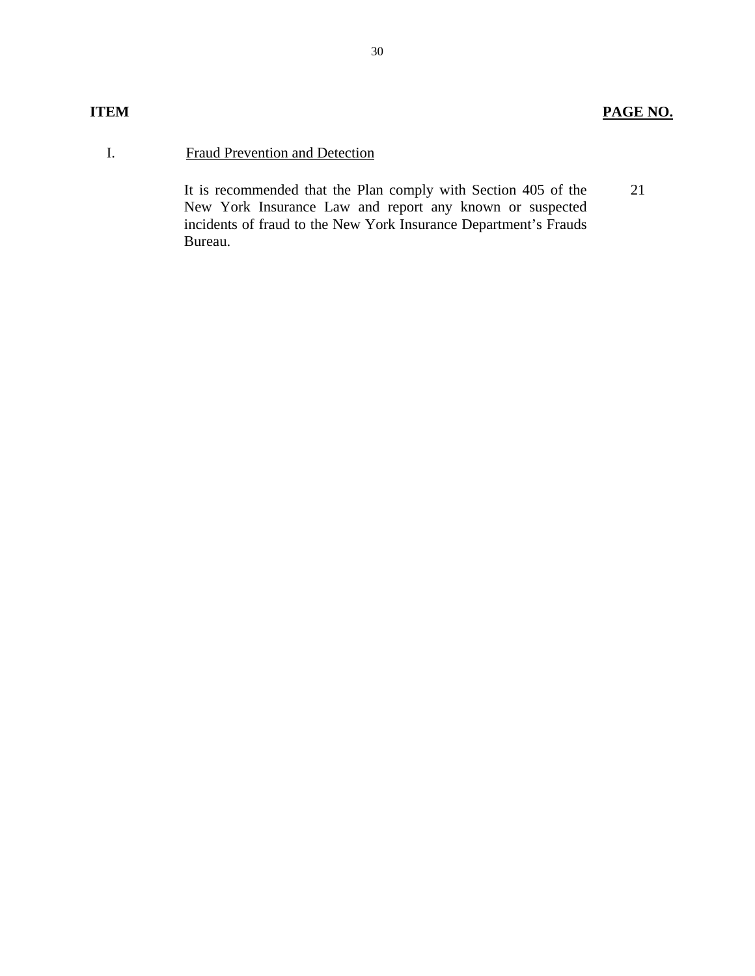## **Fraud Prevention and Detection**

I. Fraud Prevention and Detection<br>It is recommended that the Plan comply with Section 405 of the New York Insurance Law and report any known or suspected incidents of fraud to the New York Insurance Department's Frauds Bureau. 21